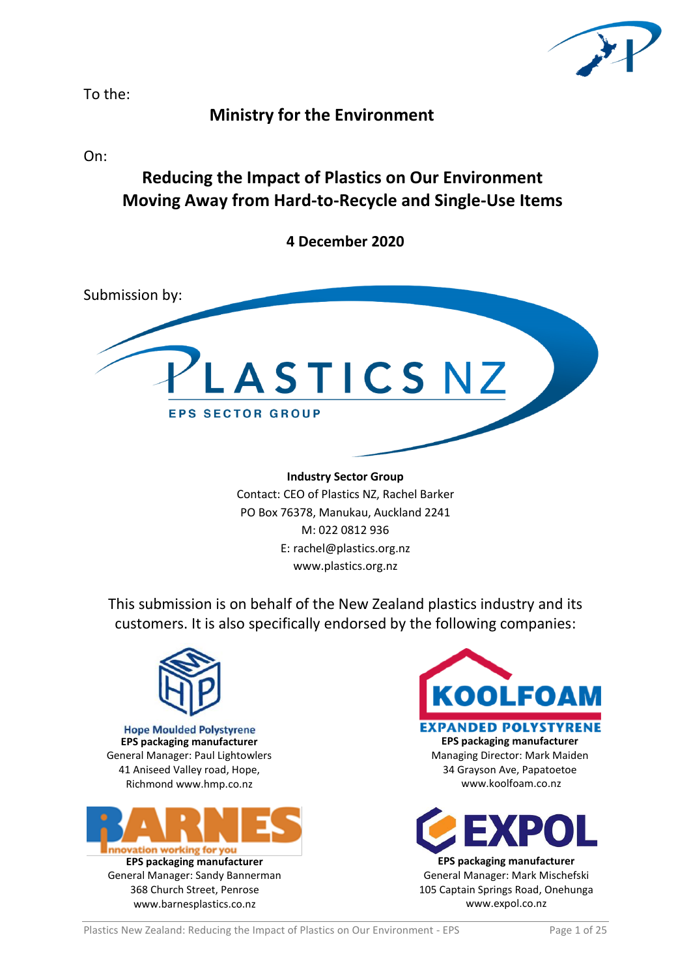

To the:

## **Ministry for the Environment**

On:

# **Reducing the Impact of Plastics on Our Environment Moving Away from Hard-to-Recycle and Single-Use Items**

**4 December 2020**



**Industry Sector Group** Contact: CEO of Plastics NZ, Rachel Barker PO Box 76378, Manukau, Auckland 2241 M: 022 0812 936 E: rachel@plastics.org.nz

www.plastics.org.nz

This submission is on behalf of the New Zealand plastics industry and its customers. It is also specifically endorsed by the following companies:



**Hope Moulded Polystyrene EPS packaging manufacturer** General Manager: Paul Lightowlers 41 Aniseed Valley road, Hope, Richmond www.hmp.co.nz







105 Captain Springs Road, Onehunga www.expol.co.nz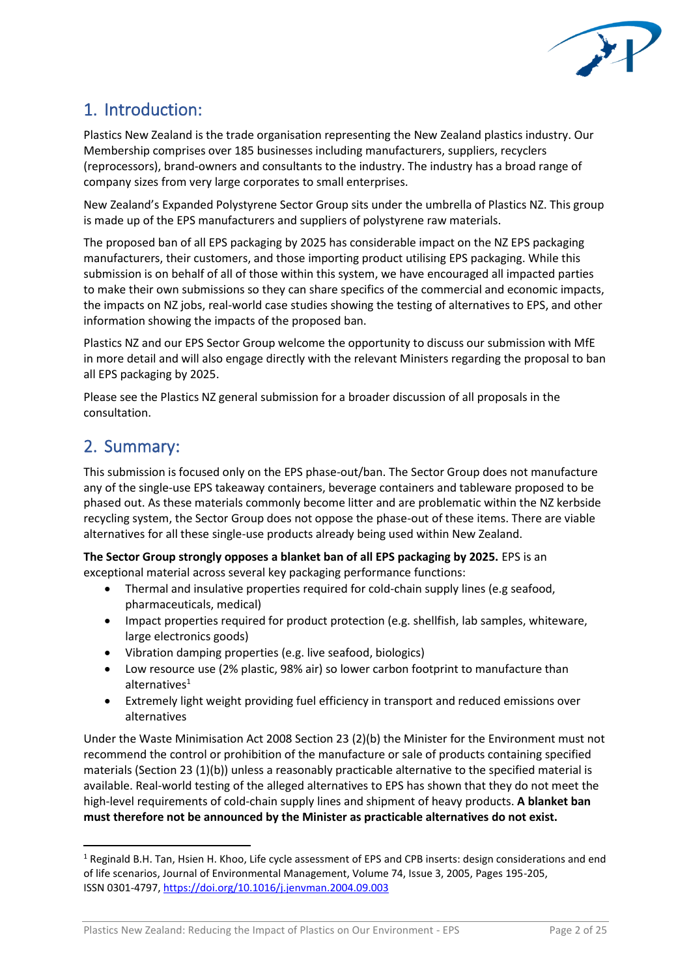

# 1. Introduction:

Plastics New Zealand is the trade organisation representing the New Zealand plastics industry. Our Membership comprises over 185 businesses including manufacturers, suppliers, recyclers (reprocessors), brand-owners and consultants to the industry. The industry has a broad range of company sizes from very large corporates to small enterprises.

New Zealand's Expanded Polystyrene Sector Group sits under the umbrella of Plastics NZ. This group is made up of the EPS manufacturers and suppliers of polystyrene raw materials.

The proposed ban of all EPS packaging by 2025 has considerable impact on the NZ EPS packaging manufacturers, their customers, and those importing product utilising EPS packaging. While this submission is on behalf of all of those within this system, we have encouraged all impacted parties to make their own submissions so they can share specifics of the commercial and economic impacts, the impacts on NZ jobs, real-world case studies showing the testing of alternatives to EPS, and other information showing the impacts of the proposed ban.

Plastics NZ and our EPS Sector Group welcome the opportunity to discuss our submission with MfE in more detail and will also engage directly with the relevant Ministers regarding the proposal to ban all EPS packaging by 2025.

Please see the Plastics NZ general submission for a broader discussion of all proposals in the consultation.

## 2. Summary:

This submission is focused only on the EPS phase-out/ban. The Sector Group does not manufacture any of the single-use EPS takeaway containers, beverage containers and tableware proposed to be phased out. As these materials commonly become litter and are problematic within the NZ kerbside recycling system, the Sector Group does not oppose the phase-out of these items. There are viable alternatives for all these single-use products already being used within New Zealand.

**The Sector Group strongly opposes a blanket ban of all EPS packaging by 2025.** EPS is an exceptional material across several key packaging performance functions:

- Thermal and insulative properties required for cold-chain supply lines (e.g seafood, pharmaceuticals, medical)
- Impact properties required for product protection (e.g. shellfish, lab samples, whiteware, large electronics goods)
- Vibration damping properties (e.g. live seafood, biologics)
- Low resource use (2% plastic, 98% air) so lower carbon footprint to manufacture than alternatives $1$
- Extremely light weight providing fuel efficiency in transport and reduced emissions over alternatives

Under the Waste Minimisation Act 2008 Section 23 (2)(b) the Minister for the Environment must not recommend the control or prohibition of the manufacture or sale of products containing specified materials (Section 23 (1)(b)) unless a reasonably practicable alternative to the specified material is available. Real-world testing of the alleged alternatives to EPS has shown that they do not meet the high-level requirements of cold-chain supply lines and shipment of heavy products. **A blanket ban must therefore not be announced by the Minister as practicable alternatives do not exist.** 

<sup>1</sup> Reginald B.H. Tan, Hsien H. Khoo, Life cycle assessment of EPS and CPB inserts: design considerations and end of life scenarios, Journal of Environmental Management, Volume 74, Issue 3, 2005, Pages 195-205, ISSN 0301-4797,<https://doi.org/10.1016/j.jenvman.2004.09.003>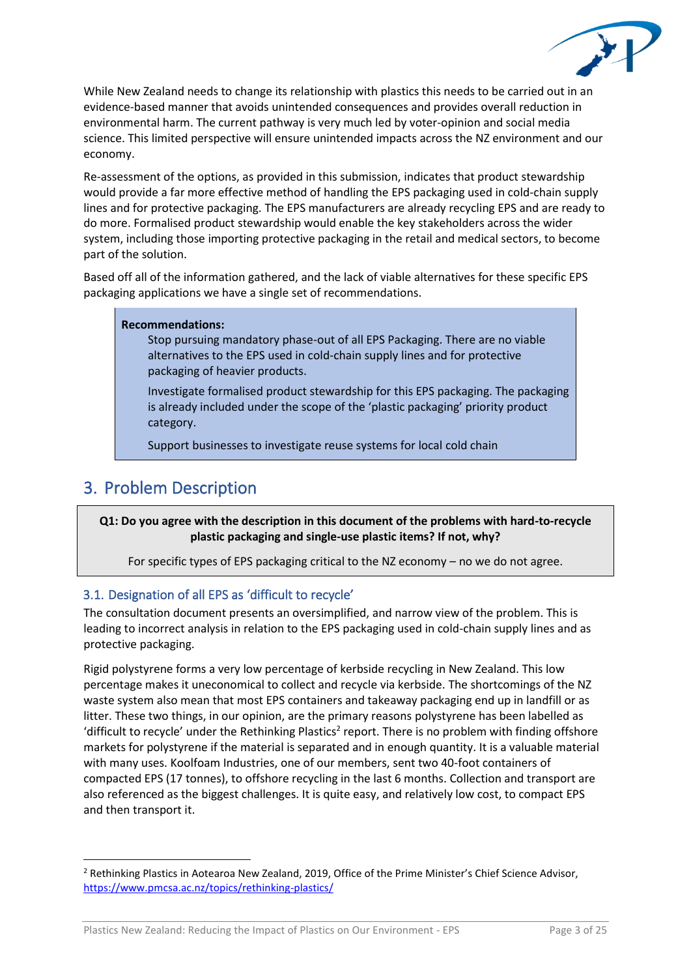

While New Zealand needs to change its relationship with plastics this needs to be carried out in an evidence-based manner that avoids unintended consequences and provides overall reduction in environmental harm. The current pathway is very much led by voter-opinion and social media science. This limited perspective will ensure unintended impacts across the NZ environment and our economy.

Re-assessment of the options, as provided in this submission, indicates that product stewardship would provide a far more effective method of handling the EPS packaging used in cold-chain supply lines and for protective packaging. The EPS manufacturers are already recycling EPS and are ready to do more. Formalised product stewardship would enable the key stakeholders across the wider system, including those importing protective packaging in the retail and medical sectors, to become part of the solution.

Based off all of the information gathered, and the lack of viable alternatives for these specific EPS packaging applications we have a single set of recommendations.

#### **Recommendations:**

Stop pursuing mandatory phase-out of all EPS Packaging. There are no viable alternatives to the EPS used in cold-chain supply lines and for protective packaging of heavier products.

Investigate formalised product stewardship for this EPS packaging. The packaging is already included under the scope of the 'plastic packaging' priority product category.

Support businesses to investigate reuse systems for local cold chain

## 3. Problem Description

**Q1: Do you agree with the description in this document of the problems with hard-to-recycle plastic packaging and single-use plastic items? If not, why?**

For specific types of EPS packaging critical to the NZ economy – no we do not agree.

## 3.1. Designation of all EPS as 'difficult to recycle'

The consultation document presents an oversimplified, and narrow view of the problem. This is leading to incorrect analysis in relation to the EPS packaging used in cold-chain supply lines and as protective packaging.

Rigid polystyrene forms a very low percentage of kerbside recycling in New Zealand. This low percentage makes it uneconomical to collect and recycle via kerbside. The shortcomings of the NZ waste system also mean that most EPS containers and takeaway packaging end up in landfill or as litter. These two things, in our opinion, are the primary reasons polystyrene has been labelled as 'difficult to recycle' under the Rethinking Plastics<sup>2</sup> report. There is no problem with finding offshore markets for polystyrene if the material is separated and in enough quantity. It is a valuable material with many uses. Koolfoam Industries, one of our members, sent two 40-foot containers of compacted EPS (17 tonnes), to offshore recycling in the last 6 months. Collection and transport are also referenced as the biggest challenges. It is quite easy, and relatively low cost, to compact EPS and then transport it.

Plastics New Zealand: Reducing the Impact of Plastics on Our Environment - EPS Page 3 of 25

 $<sup>2</sup>$  Rethinking Plastics in Aotearoa New Zealand, 2019, Office of the Prime Minister's Chief Science Advisor,</sup> <https://www.pmcsa.ac.nz/topics/rethinking-plastics/>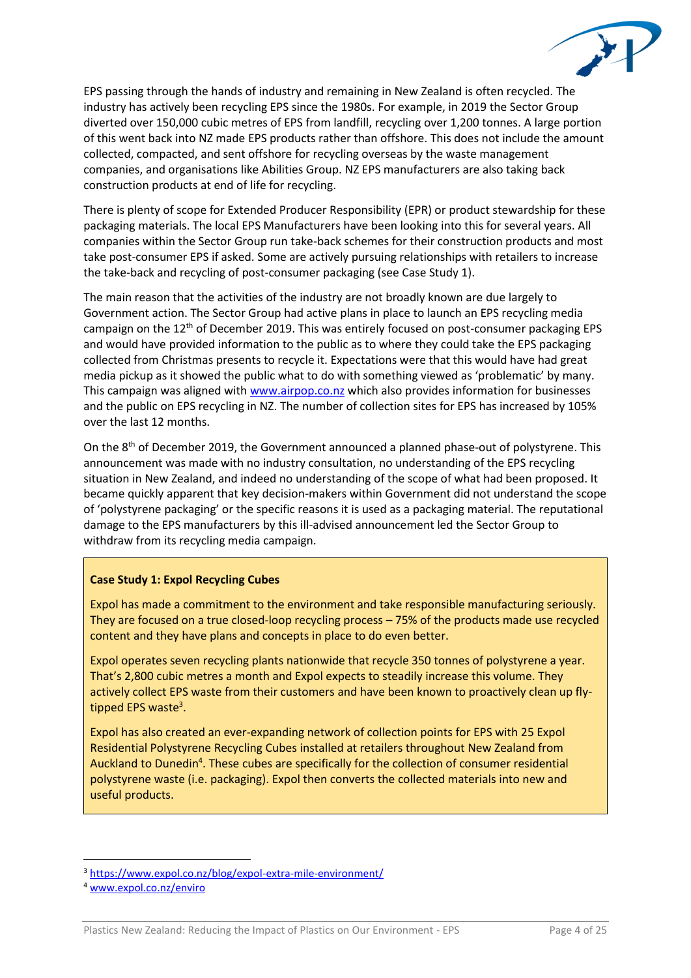

EPS passing through the hands of industry and remaining in New Zealand is often recycled. The industry has actively been recycling EPS since the 1980s. For example, in 2019 the Sector Group diverted over 150,000 cubic metres of EPS from landfill, recycling over 1,200 tonnes. A large portion of this went back into NZ made EPS products rather than offshore. This does not include the amount collected, compacted, and sent offshore for recycling overseas by the waste management companies, and organisations like Abilities Group. NZ EPS manufacturers are also taking back construction products at end of life for recycling.

There is plenty of scope for Extended Producer Responsibility (EPR) or product stewardship for these packaging materials. The local EPS Manufacturers have been looking into this for several years. All companies within the Sector Group run take-back schemes for their construction products and most take post-consumer EPS if asked. Some are actively pursuing relationships with retailers to increase the take-back and recycling of post-consumer packaging (see Case Study 1).

The main reason that the activities of the industry are not broadly known are due largely to Government action. The Sector Group had active plans in place to launch an EPS recycling media campaign on the  $12<sup>th</sup>$  of December 2019. This was entirely focused on post-consumer packaging EPS and would have provided information to the public as to where they could take the EPS packaging collected from Christmas presents to recycle it. Expectations were that this would have had great media pickup as it showed the public what to do with something viewed as 'problematic' by many. This campaign was aligned wit[h www.airpop.co.nz](http://www.airpop.co.nz/) which also provides information for businesses and the public on EPS recycling in NZ. The number of collection sites for EPS has increased by 105% over the last 12 months.

On the 8<sup>th</sup> of December 2019, the Government announced a planned phase-out of polystyrene. This announcement was made with no industry consultation, no understanding of the EPS recycling situation in New Zealand, and indeed no understanding of the scope of what had been proposed. It became quickly apparent that key decision-makers within Government did not understand the scope of 'polystyrene packaging' or the specific reasons it is used as a packaging material. The reputational damage to the EPS manufacturers by this ill-advised announcement led the Sector Group to withdraw from its recycling media campaign.

#### **Case Study 1: Expol Recycling Cubes**

Expol has made a commitment to the environment and take responsible manufacturing seriously. They are focused on a true closed-loop recycling process – 75% of the products made use recycled content and they have plans and concepts in place to do even better.

Expol operates seven recycling plants nationwide that recycle 350 tonnes of polystyrene a year. That's 2,800 cubic metres a month and Expol expects to steadily increase this volume. They actively collect EPS waste from their customers and have been known to proactively clean up flytipped EPS waste<sup>3</sup>.

Expol has also created an ever-expanding network of collection points for EPS with 25 Expol Residential Polystyrene Recycling Cubes installed at retailers throughout New Zealand from Auckland to Dunedin<sup>4</sup>. These cubes are specifically for the collection of consumer residential polystyrene waste (i.e. packaging). Expol then converts the collected materials into new and useful products.

<sup>&</sup>lt;sup>3</sup> <https://www.expol.co.nz/blog/expol-extra-mile-environment/>

<sup>4</sup> [www.expol.co.nz/enviro](http://www.expol.co.nz/enviro)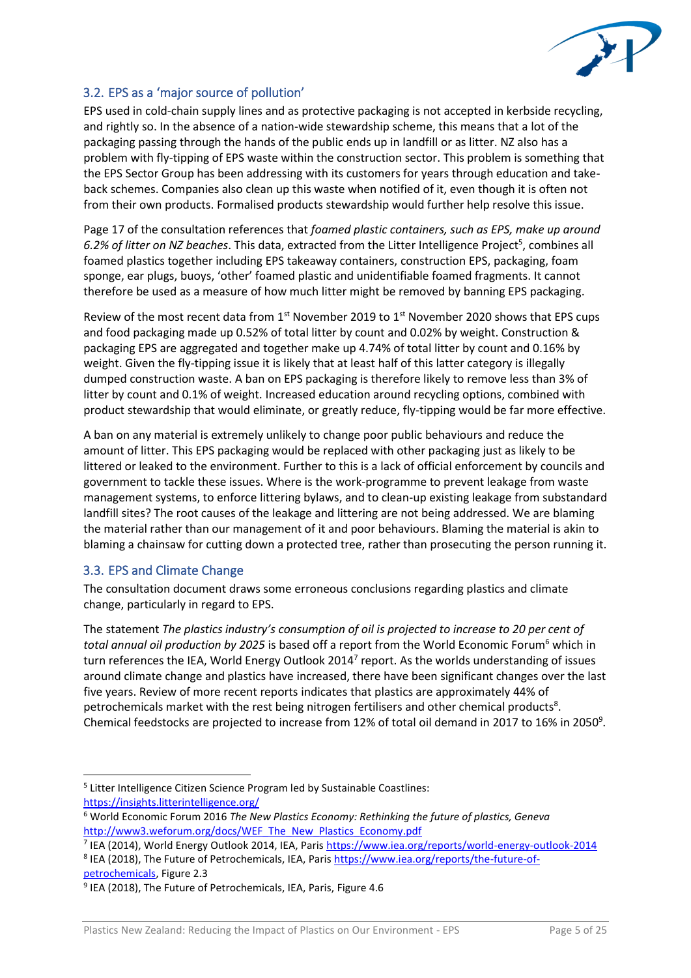

## 3.2. EPS as a 'major source of pollution'

EPS used in cold-chain supply lines and as protective packaging is not accepted in kerbside recycling, and rightly so. In the absence of a nation-wide stewardship scheme, this means that a lot of the packaging passing through the hands of the public ends up in landfill or as litter. NZ also has a problem with fly-tipping of EPS waste within the construction sector. This problem is something that the EPS Sector Group has been addressing with its customers for years through education and takeback schemes. Companies also clean up this waste when notified of it, even though it is often not from their own products. Formalised products stewardship would further help resolve this issue.

Page 17 of the consultation references that *foamed plastic containers, such as EPS, make up around*  6.2% of litter on NZ beaches. This data, extracted from the Litter Intelligence Project<sup>5</sup>, combines all foamed plastics together including EPS takeaway containers, construction EPS, packaging, foam sponge, ear plugs, buoys, 'other' foamed plastic and unidentifiable foamed fragments. It cannot therefore be used as a measure of how much litter might be removed by banning EPS packaging.

Review of the most recent data from  $1<sup>st</sup>$  November 2019 to  $1<sup>st</sup>$  November 2020 shows that EPS cups and food packaging made up 0.52% of total litter by count and 0.02% by weight. Construction & packaging EPS are aggregated and together make up 4.74% of total litter by count and 0.16% by weight. Given the fly-tipping issue it is likely that at least half of this latter category is illegally dumped construction waste. A ban on EPS packaging is therefore likely to remove less than 3% of litter by count and 0.1% of weight. Increased education around recycling options, combined with product stewardship that would eliminate, or greatly reduce, fly-tipping would be far more effective.

A ban on any material is extremely unlikely to change poor public behaviours and reduce the amount of litter. This EPS packaging would be replaced with other packaging just as likely to be littered or leaked to the environment. Further to this is a lack of official enforcement by councils and government to tackle these issues. Where is the work-programme to prevent leakage from waste management systems, to enforce littering bylaws, and to clean-up existing leakage from substandard landfill sites? The root causes of the leakage and littering are not being addressed. We are blaming the material rather than our management of it and poor behaviours. Blaming the material is akin to blaming a chainsaw for cutting down a protected tree, rather than prosecuting the person running it.

## 3.3. EPS and Climate Change

The consultation document draws some erroneous conclusions regarding plastics and climate change, particularly in regard to EPS.

The statement *The plastics industry's consumption of oil is projected to increase to 20 per cent of total annual oil production by 2025* is based off a report from the World Economic Forum<sup>6</sup> which in turn references the IEA, World Energy Outlook 2014<sup>7</sup> report. As the worlds understanding of issues around climate change and plastics have increased, there have been significant changes over the last five years. Review of more recent reports indicates that plastics are approximately 44% of petrochemicals market with the rest being nitrogen fertilisers and other chemical products<sup>8</sup>. Chemical feedstocks are projected to increase from 12% of total oil demand in 2017 to 16% in 2050<sup>9</sup>.

<sup>&</sup>lt;sup>5</sup> Litter Intelligence Citizen Science Program led by Sustainable Coastlines: <https://insights.litterintelligence.org/>

<sup>6</sup> World Economic Forum 2016 *The New Plastics Economy: Rethinking the future of plastics, Geneva*  [http://www3.weforum.org/docs/WEF\\_The\\_New\\_Plastics\\_Economy.pdf](http://www3.weforum.org/docs/WEF_The_New_Plastics_Economy.pdf)

<sup>&</sup>lt;sup>7</sup> IEA (2014), World Energy Outlook 2014, IEA, Paris<https://www.iea.org/reports/world-energy-outlook-2014> <sup>8</sup> IEA (2018), The Future of Petrochemicals, IEA, Paris [https://www.iea.org/reports/the-future-of](https://www.iea.org/reports/the-future-of-petrochemicals)[petrochemicals,](https://www.iea.org/reports/the-future-of-petrochemicals) Figure 2.3

<sup>&</sup>lt;sup>9</sup> IEA (2018), The Future of Petrochemicals, IEA, Paris, Figure 4.6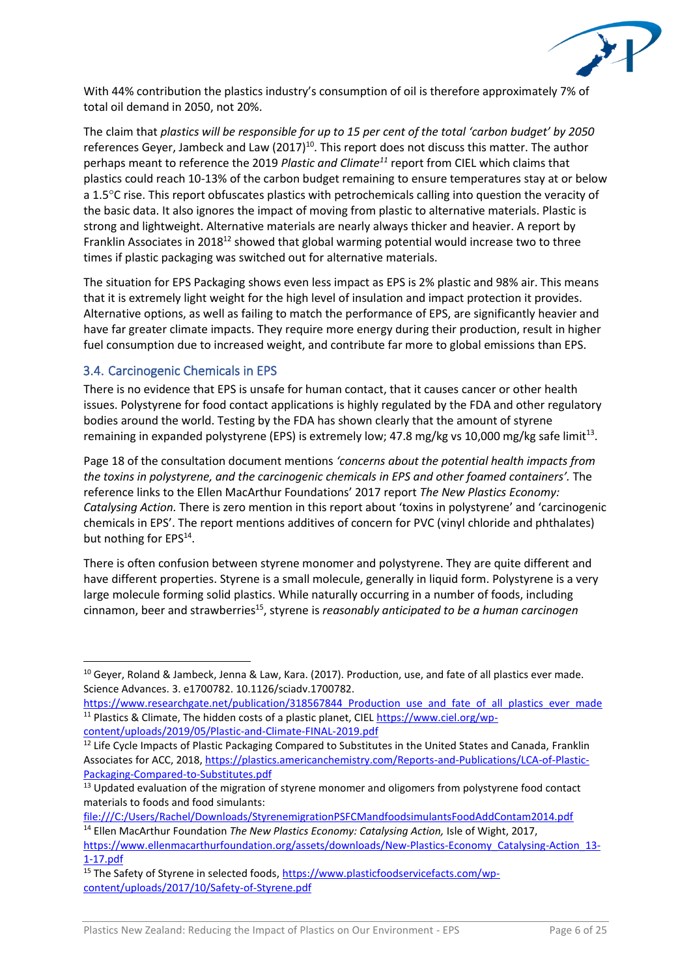

With 44% contribution the plastics industry's consumption of oil is therefore approximately 7% of total oil demand in 2050, not 20%.

The claim that *plastics will be responsible for up to 15 per cent of the total 'carbon budget' by 2050* references Gever, Jambeck and Law (2017)<sup>10</sup>. This report does not discuss this matter. The author perhaps meant to reference the 2019 *Plastic and Climate<sup>11</sup>* report from CIEL which claims that plastics could reach 10-13% of the carbon budget remaining to ensure temperatures stay at or below a 1.5C rise. This report obfuscates plastics with petrochemicals calling into question the veracity of the basic data. It also ignores the impact of moving from plastic to alternative materials. Plastic is strong and lightweight. Alternative materials are nearly always thicker and heavier. A report by Franklin Associates in 2018<sup>12</sup> showed that global warming potential would increase two to three times if plastic packaging was switched out for alternative materials.

The situation for EPS Packaging shows even less impact as EPS is 2% plastic and 98% air. This means that it is extremely light weight for the high level of insulation and impact protection it provides. Alternative options, as well as failing to match the performance of EPS, are significantly heavier and have far greater climate impacts. They require more energy during their production, result in higher fuel consumption due to increased weight, and contribute far more to global emissions than EPS.

## 3.4. Carcinogenic Chemicals in EPS

There is no evidence that EPS is unsafe for human contact, that it causes cancer or other health issues. Polystyrene for food contact applications is highly regulated by the FDA and other regulatory bodies around the world. Testing by the FDA has shown clearly that the amount of styrene remaining in expanded polystyrene (EPS) is extremely low; 47.8 mg/kg vs 10,000 mg/kg safe limit<sup>13</sup>.

Page 18 of the consultation document mentions *'concerns about the potential health impacts from the toxins in polystyrene, and the carcinogenic chemicals in EPS and other foamed containers'.* The reference links to the Ellen MacArthur Foundations' 2017 report *The New Plastics Economy: Catalysing Action.* There is zero mention in this report about 'toxins in polystyrene' and 'carcinogenic chemicals in EPS'. The report mentions additives of concern for PVC (vinyl chloride and phthalates) but nothing for EPS<sup>14</sup>.

There is often confusion between styrene monomer and polystyrene. They are quite different and have different properties. Styrene is a small molecule, generally in liquid form. Polystyrene is a very large molecule forming solid plastics. While naturally occurring in a number of foods, including cinnamon, beer and strawberries<sup>15</sup>, styrene is *reasonably anticipated to be a human carcinogen* 

<sup>&</sup>lt;sup>10</sup> Gever, Roland & Jambeck, Jenna & Law, Kara. (2017). Production, use, and fate of all plastics ever made. Science Advances. 3. e1700782. 10.1126/sciadv.1700782.

https://www.researchgate.net/publication/318567844 Production use and fate of all plastics ever made <sup>11</sup> Plastics & Climate, The hidden costs of a plastic planet, CIEL [https://www.ciel.org/wp](https://www.ciel.org/wp-content/uploads/2019/05/Plastic-and-Climate-FINAL-2019.pdf)[content/uploads/2019/05/Plastic-and-Climate-FINAL-2019.pdf](https://www.ciel.org/wp-content/uploads/2019/05/Plastic-and-Climate-FINAL-2019.pdf)

<sup>&</sup>lt;sup>12</sup> Life Cycle Impacts of Plastic Packaging Compared to Substitutes in the United States and Canada, Franklin Associates for ACC, 2018, [https://plastics.americanchemistry.com/Reports-and-Publications/LCA-of-Plastic-](https://plastics.americanchemistry.com/Reports-and-Publications/LCA-of-Plastic-Packaging-Compared-to-Substitutes.pdf)[Packaging-Compared-to-Substitutes.pdf](https://plastics.americanchemistry.com/Reports-and-Publications/LCA-of-Plastic-Packaging-Compared-to-Substitutes.pdf)

<sup>&</sup>lt;sup>13</sup> Updated evaluation of the migration of styrene monomer and oligomers from polystyrene food contact materials to foods and food simulants:

<file:///C:/Users/Rachel/Downloads/StyrenemigrationPSFCMandfoodsimulantsFoodAddContam2014.pdf> <sup>14</sup> Ellen MacArthur Foundation *The New Plastics Economy: Catalysing Action,* Isle of Wight, 2017,

[https://www.ellenmacarthurfoundation.org/assets/downloads/New-Plastics-Economy\\_Catalysing-Action\\_13-](https://www.ellenmacarthurfoundation.org/assets/downloads/New-Plastics-Economy_Catalysing-Action_13-1-17.pdf) [1-17.pdf](https://www.ellenmacarthurfoundation.org/assets/downloads/New-Plastics-Economy_Catalysing-Action_13-1-17.pdf)

<sup>&</sup>lt;sup>15</sup> The Safety of Styrene in selected foods, [https://www.plasticfoodservicefacts.com/wp](https://www.plasticfoodservicefacts.com/wp-content/uploads/2017/10/Safety-of-Styrene.pdf)[content/uploads/2017/10/Safety-of-Styrene.pdf](https://www.plasticfoodservicefacts.com/wp-content/uploads/2017/10/Safety-of-Styrene.pdf)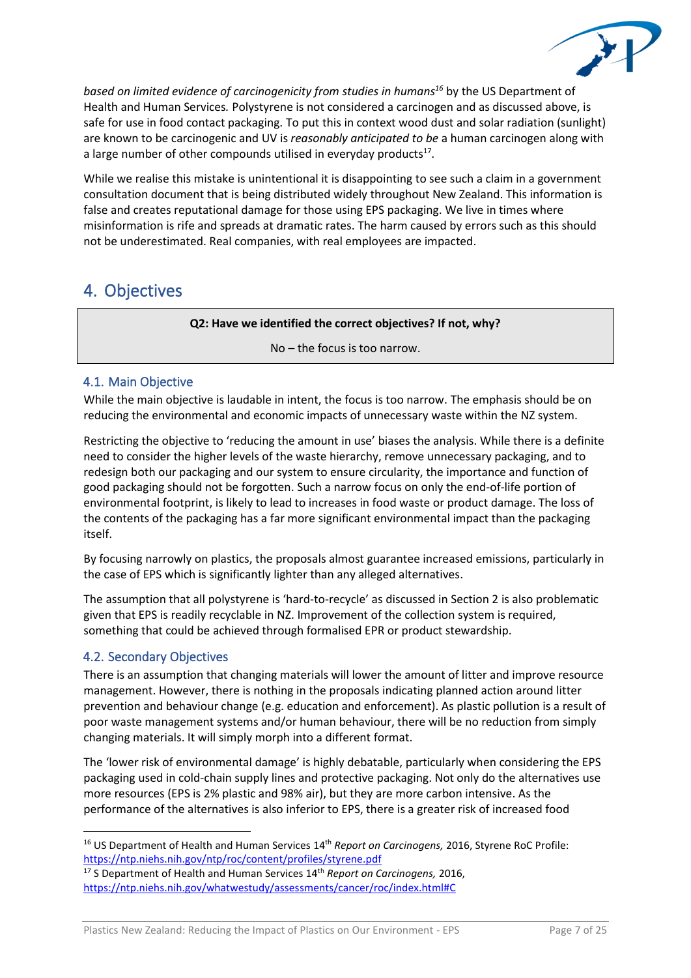

*based on limited evidence of carcinogenicity from studies in humans<sup>16</sup>* by the US Department of Health and Human Services*.* Polystyrene is not considered a carcinogen and as discussed above, is safe for use in food contact packaging. To put this in context wood dust and solar radiation (sunlight) are known to be carcinogenic and UV is *reasonably anticipated to be* a human carcinogen along with a large number of other compounds utilised in everyday products $^{17}$ .

While we realise this mistake is unintentional it is disappointing to see such a claim in a government consultation document that is being distributed widely throughout New Zealand. This information is false and creates reputational damage for those using EPS packaging. We live in times where misinformation is rife and spreads at dramatic rates. The harm caused by errors such as this should not be underestimated. Real companies, with real employees are impacted.

## 4. Objectives

#### **Q2: Have we identified the correct objectives? If not, why?**

No – the focus is too narrow.

## <span id="page-6-0"></span>4.1. Main Objective

While the main objective is laudable in intent, the focus is too narrow. The emphasis should be on reducing the environmental and economic impacts of unnecessary waste within the NZ system.

Restricting the objective to 'reducing the amount in use' biases the analysis. While there is a definite need to consider the higher levels of the waste hierarchy, remove unnecessary packaging, and to redesign both our packaging and our system to ensure circularity, the importance and function of good packaging should not be forgotten. Such a narrow focus on only the end-of-life portion of environmental footprint, is likely to lead to increases in food waste or product damage. The loss of the contents of the packaging has a far more significant environmental impact than the packaging itself.

By focusing narrowly on plastics, the proposals almost guarantee increased emissions, particularly in the case of EPS which is significantly lighter than any alleged alternatives.

The assumption that all polystyrene is 'hard-to-recycle' as discussed in Section 2 is also problematic given that EPS is readily recyclable in NZ. Improvement of the collection system is required, something that could be achieved through formalised EPR or product stewardship.

## 4.2. Secondary Objectives

There is an assumption that changing materials will lower the amount of litter and improve resource management. However, there is nothing in the proposals indicating planned action around litter prevention and behaviour change (e.g. education and enforcement). As plastic pollution is a result of poor waste management systems and/or human behaviour, there will be no reduction from simply changing materials. It will simply morph into a different format.

The 'lower risk of environmental damage' is highly debatable, particularly when considering the EPS packaging used in cold-chain supply lines and protective packaging. Not only do the alternatives use more resources (EPS is 2% plastic and 98% air), but they are more carbon intensive. As the performance of the alternatives is also inferior to EPS, there is a greater risk of increased food

<sup>&</sup>lt;sup>16</sup> US Department of Health and Human Services 14<sup>th</sup> Report on Carcinogens, 2016, Styrene RoC Profile: <https://ntp.niehs.nih.gov/ntp/roc/content/profiles/styrene.pdf>

<sup>17</sup> S Department of Health and Human Services 14th *Report on Carcinogens,* 2016, <https://ntp.niehs.nih.gov/whatwestudy/assessments/cancer/roc/index.html#C>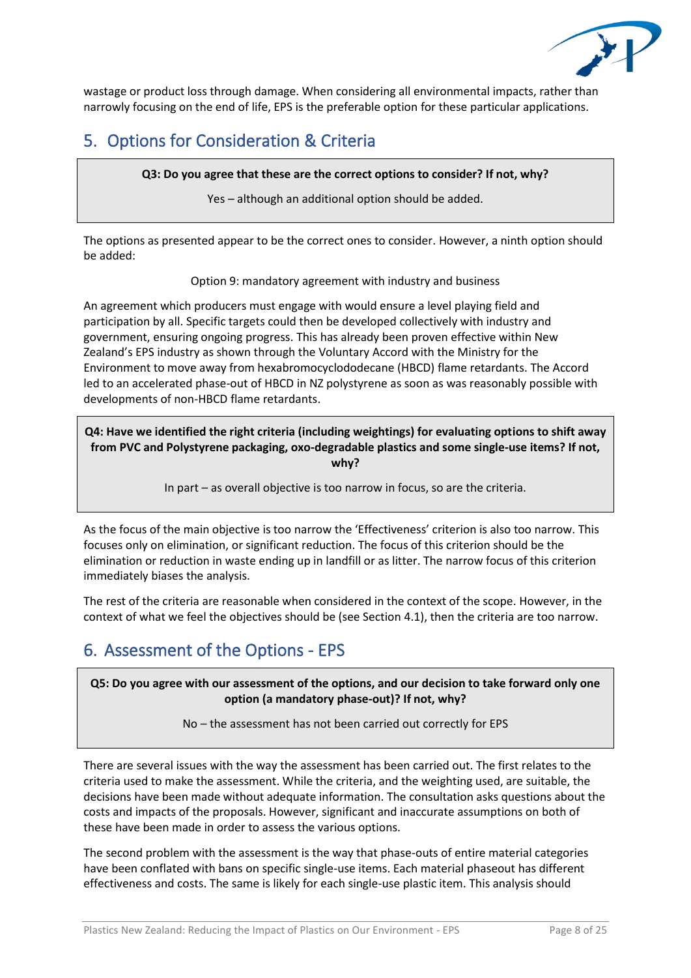

wastage or product loss through damage. When considering all environmental impacts, rather than narrowly focusing on the end of life, EPS is the preferable option for these particular applications.

## 5. Options for Consideration & Criteria

**Q3: Do you agree that these are the correct options to consider? If not, why?**

Yes – although an additional option should be added.

The options as presented appear to be the correct ones to consider. However, a ninth option should be added:

Option 9: mandatory agreement with industry and business

An agreement which producers must engage with would ensure a level playing field and participation by all. Specific targets could then be developed collectively with industry and government, ensuring ongoing progress. This has already been proven effective within New Zealand's EPS industry as shown through the Voluntary Accord with the Ministry for the Environment to move away from hexabromocyclododecane (HBCD) flame retardants. The Accord led to an accelerated phase-out of HBCD in NZ polystyrene as soon as was reasonably possible with developments of non-HBCD flame retardants.

**Q4: Have we identified the right criteria (including weightings) for evaluating options to shift away from PVC and Polystyrene packaging, oxo-degradable plastics and some single-use items? If not, why?**

In part – as overall objective is too narrow in focus, so are the criteria.

As the focus of the main objective is too narrow the 'Effectiveness' criterion is also too narrow. This focuses only on elimination, or significant reduction. The focus of this criterion should be the elimination or reduction in waste ending up in landfill or as litter. The narrow focus of this criterion immediately biases the analysis.

The rest of the criteria are reasonable when considered in the context of the scope. However, in the context of what we feel the objectives should be (see Section [4.1\)](#page-6-0), then the criteria are too narrow.

# 6. Assessment of the Options - EPS

**Q5: Do you agree with our assessment of the options, and our decision to take forward only one option (a mandatory phase-out)? If not, why?** 

No – the assessment has not been carried out correctly for EPS

There are several issues with the way the assessment has been carried out. The first relates to the criteria used to make the assessment. While the criteria, and the weighting used, are suitable, the decisions have been made without adequate information. The consultation asks questions about the costs and impacts of the proposals. However, significant and inaccurate assumptions on both of these have been made in order to assess the various options.

The second problem with the assessment is the way that phase-outs of entire material categories have been conflated with bans on specific single-use items. Each material phaseout has different effectiveness and costs. The same is likely for each single-use plastic item. This analysis should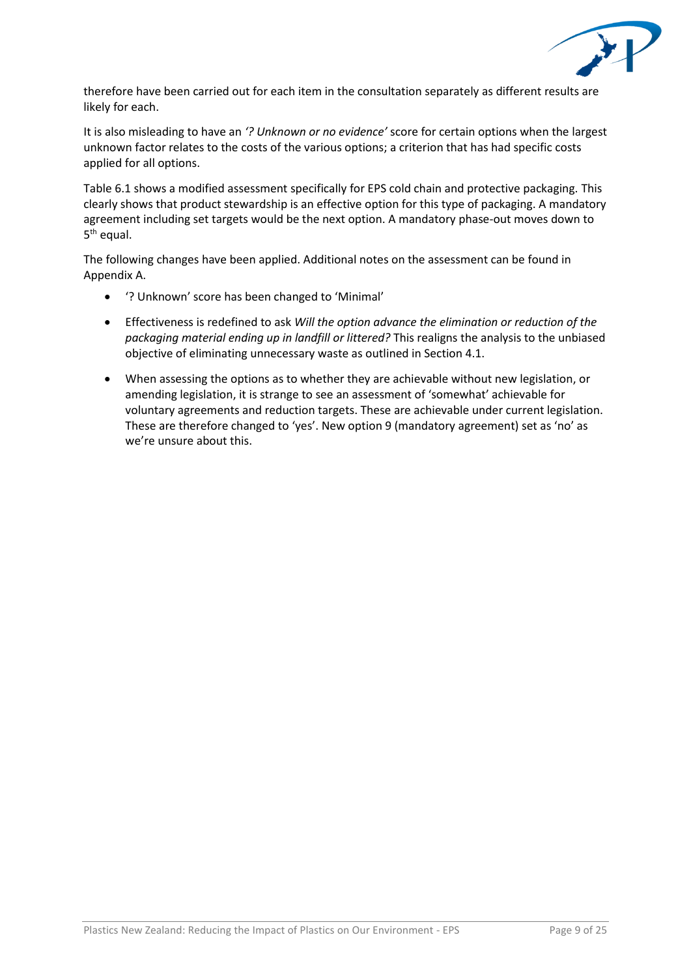

therefore have been carried out for each item in the consultation separately as different results are likely for each.

It is also misleading to have an *'? Unknown or no evidence'* score for certain options when the largest unknown factor relates to the costs of the various options; a criterion that has had specific costs applied for all options.

Table 6.1 shows a modified assessment specifically for EPS cold chain and protective packaging. This clearly shows that product stewardship is an effective option for this type of packaging. A mandatory agreement including set targets would be the next option. A mandatory phase-out moves down to 5<sup>th</sup> equal.

The following changes have been applied. Additional notes on the assessment can be found in Appendix A.

- '? Unknown' score has been changed to 'Minimal'
- Effectiveness is redefined to ask *Will the option advance the elimination or reduction of the packaging material ending up in landfill or littered?* This realigns the analysis to the unbiased objective of eliminating unnecessary waste as outlined in Section 4.1.
- When assessing the options as to whether they are achievable without new legislation, or amending legislation, it is strange to see an assessment of 'somewhat' achievable for voluntary agreements and reduction targets. These are achievable under current legislation. These are therefore changed to 'yes'. New option 9 (mandatory agreement) set as 'no' as we're unsure about this.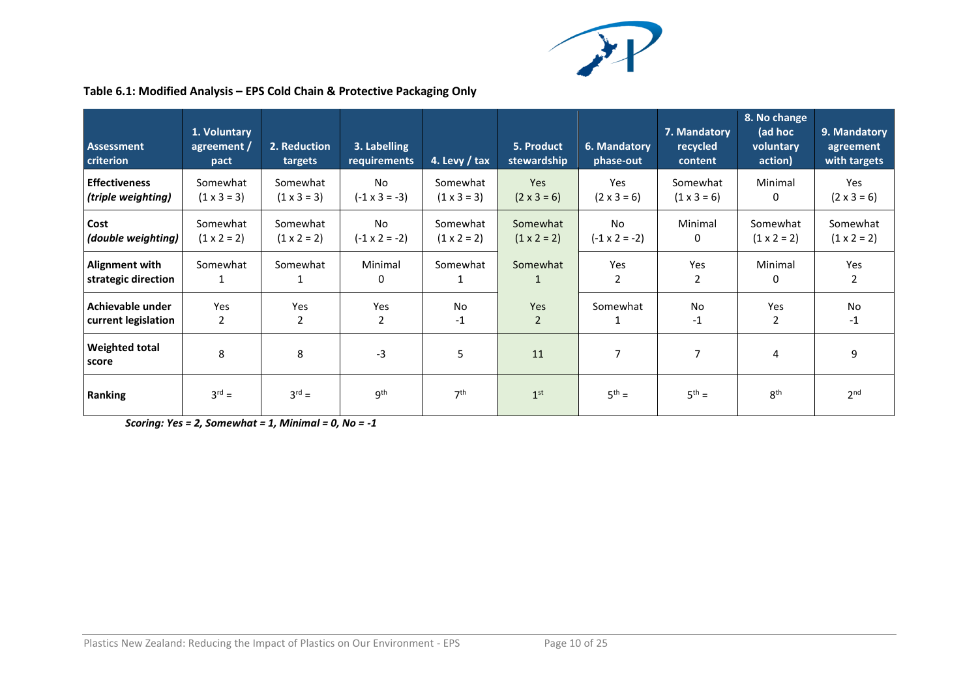

| Table 6.1: Modified Analysis - EPS Cold Chain & Protective Packaging Only |  |  |  |
|---------------------------------------------------------------------------|--|--|--|
|---------------------------------------------------------------------------|--|--|--|

| <b>Assessment</b><br>criterion | 1. Voluntary<br>agreement /<br>pact | 2. Reduction<br>targets | 3. Labelling<br>requirements | 4. Levy $/$ tax    | 5. Product<br>stewardship | 6. Mandatory<br>phase-out | 7. Mandatory<br>recycled<br>content | 8. No change<br>(ad hoc<br>voluntary<br>action) | 9. Mandatory<br>agreement<br>with targets |
|--------------------------------|-------------------------------------|-------------------------|------------------------------|--------------------|---------------------------|---------------------------|-------------------------------------|-------------------------------------------------|-------------------------------------------|
| <b>Effectiveness</b>           | Somewhat                            | Somewhat                | <b>No</b>                    | Somewhat           | Yes                       | Yes                       | Somewhat                            | Minimal                                         | Yes                                       |
| (triple weighting)             | $(1 \times 3 = 3)$                  | $(1 \times 3 = 3)$      | $(-1 \times 3 = -3)$         | $(1 \times 3 = 3)$ | $(2 \times 3 = 6)$        | $(2 \times 3 = 6)$        | $(1 \times 3 = 6)$                  | 0                                               | $(2 \times 3 = 6)$                        |
| Cost                           | Somewhat                            | Somewhat                | No                           | Somewhat           | Somewhat                  | No                        | Minimal                             | Somewhat                                        | Somewhat                                  |
| (double weighting)             | $(1 \times 2 = 2)$                  | $(1 \times 2 = 2)$      | $(-1 \times 2 = -2)$         | $(1 \times 2 = 2)$ | $(1 \times 2 = 2)$        | $(-1 \times 2 = -2)$      | 0                                   | $(1 \times 2 = 2)$                              | $(1 \times 2 = 2)$                        |
| <b>Alignment with</b>          | Somewhat                            | Somewhat                | Minimal                      | Somewhat           | Somewhat                  | Yes                       | Yes                                 | Minimal                                         | Yes                                       |
| strategic direction            | 1                                   |                         | 0                            | 1                  | $\mathbf{1}$              | 2                         | 2                                   | 0                                               | 2                                         |
| Achievable under               | Yes                                 | Yes                     | Yes                          | No                 | Yes                       | Somewhat                  | <b>No</b>                           | Yes                                             | <b>No</b>                                 |
| current legislation            | 2                                   | 2                       | 2                            | $-1$               | $\overline{2}$            |                           | $-1$                                | 2                                               | $-1$                                      |
| <b>Weighted total</b><br>score | 8                                   | 8                       | -3                           | 5                  | 11                        | 7                         | 7                                   | 4                                               | 9                                         |
| <b>Ranking</b>                 | $3^{rd} =$                          | $3^{rd} =$              | 9 <sup>th</sup>              | 7 <sup>th</sup>    | 1 <sup>st</sup>           | $5^{th} =$                | $5^{th} =$                          | 8 <sup>th</sup>                                 | 2 <sub>nd</sub>                           |

*Scoring: Yes = 2, Somewhat = 1, Minimal = 0, No = -1*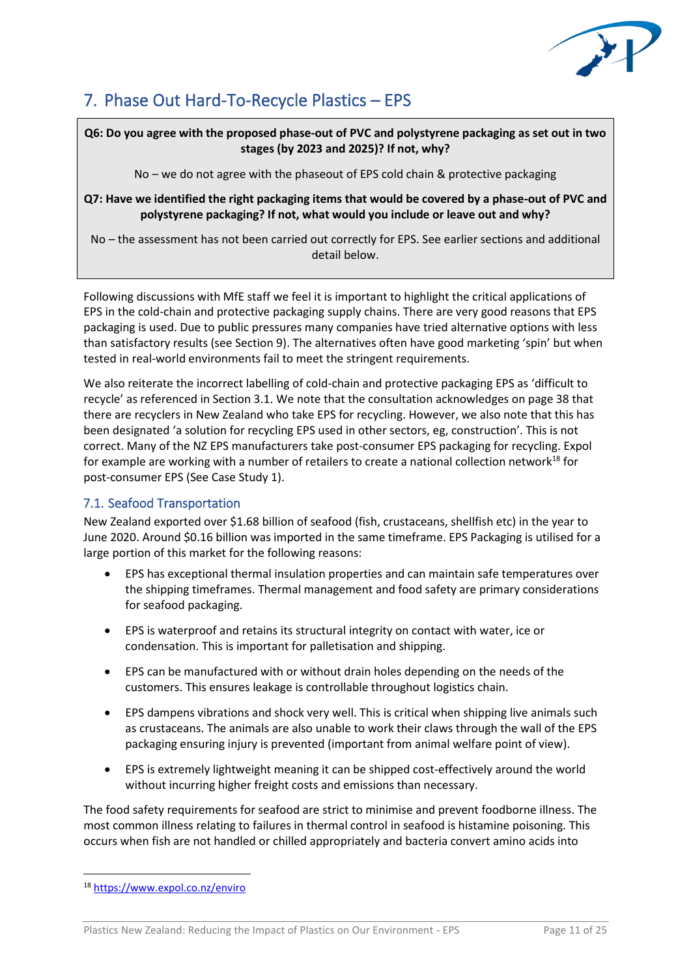

## 7. Phase Out Hard-To-Recycle Plastics – EPS

**Q6: Do you agree with the proposed phase-out of PVC and polystyrene packaging as set out in two stages (by 2023 and 2025)? If not, why?**

No – we do not agree with the phaseout of EPS cold chain & protective packaging

**Q7: Have we identified the right packaging items that would be covered by a phase-out of PVC and polystyrene packaging? If not, what would you include or leave out and why?**

No – the assessment has not been carried out correctly for EPS. See earlier sections and additional detail below.

Following discussions with MfE staff we feel it is important to highlight the critical applications of EPS in the cold-chain and protective packaging supply chains. There are very good reasons that EPS packaging is used. Due to public pressures many companies have tried alternative options with less than satisfactory results (see Section 9). The alternatives often have good marketing 'spin' but when tested in real-world environments fail to meet the stringent requirements.

We also reiterate the incorrect labelling of cold-chain and protective packaging EPS as 'difficult to recycle' as referenced in Section 3.1. We note that the consultation acknowledges on page 38 that there are recyclers in New Zealand who take EPS for recycling. However, we also note that this has been designated 'a solution for recycling EPS used in other sectors, eg, construction'. This is not correct. Many of the NZ EPS manufacturers take post-consumer EPS packaging for recycling. Expol for example are working with a number of retailers to create a national collection network<sup>18</sup> for post-consumer EPS (See Case Study 1).

## 7.1. Seafood Transportation

New Zealand exported over \$1.68 billion of seafood (fish, crustaceans, shellfish etc) in the year to June 2020. Around \$0.16 billion was imported in the same timeframe. EPS Packaging is utilised for a large portion of this market for the following reasons:

- EPS has exceptional thermal insulation properties and can maintain safe temperatures over the shipping timeframes. Thermal management and food safety are primary considerations for seafood packaging.
- EPS is waterproof and retains its structural integrity on contact with water, ice or condensation. This is important for palletisation and shipping.
- EPS can be manufactured with or without drain holes depending on the needs of the customers. This ensures leakage is controllable throughout logistics chain.
- EPS dampens vibrations and shock very well. This is critical when shipping live animals such as crustaceans. The animals are also unable to work their claws through the wall of the EPS packaging ensuring injury is prevented (important from animal welfare point of view).
- EPS is extremely lightweight meaning it can be shipped cost-effectively around the world without incurring higher freight costs and emissions than necessary.

The food safety requirements for seafood are strict to minimise and prevent foodborne illness. The most common illness relating to failures in thermal control in seafood is histamine poisoning. This occurs when fish are not handled or chilled appropriately and bacteria convert amino acids into

<sup>18</sup> <https://www.expol.co.nz/enviro>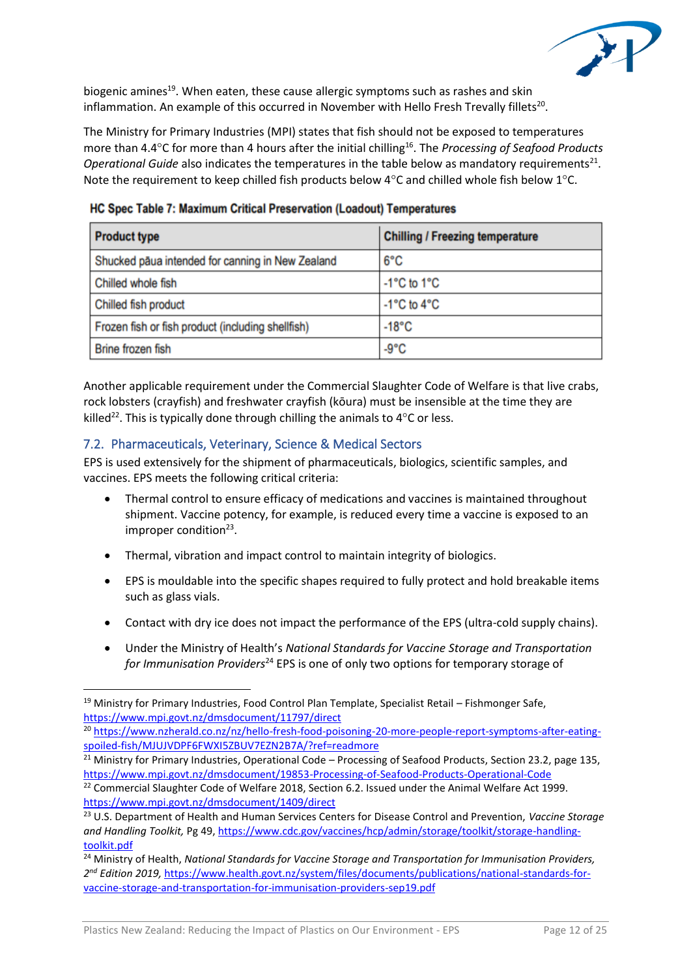

biogenic amines<sup>19</sup>. When eaten, these cause allergic symptoms such as rashes and skin inflammation. An example of this occurred in November with Hello Fresh Trevally fillets<sup>20</sup>.

The Ministry for Primary Industries (MPI) states that fish should not be exposed to temperatures more than 4.4°C for more than 4 hours after the initial chilling<sup>16</sup>. The *Processing of Seafood Products* Operational Guide also indicates the temperatures in the table below as mandatory requirements<sup>21</sup>. Note the requirement to keep chilled fish products below  $4^{\circ}$ C and chilled whole fish below  $1^{\circ}$ C.

| <b>Product type</b>                               | <b>Chilling / Freezing temperature</b> |  |  |  |  |
|---------------------------------------------------|----------------------------------------|--|--|--|--|
| Shucked pāua intended for canning in New Zealand  | $6^{\circ}$ C                          |  |  |  |  |
| Chilled whole fish                                | $-1^{\circ}$ C to 1 $^{\circ}$ C       |  |  |  |  |
| Chilled fish product                              | $-1^{\circ}$ C to $4^{\circ}$ C        |  |  |  |  |
| Frozen fish or fish product (including shellfish) | $-18^{\circ}$ C                        |  |  |  |  |
| <b>Brine frozen fish</b>                          | $-9^{\circ}C$                          |  |  |  |  |

HC Spec Table 7: Maximum Critical Preservation (Loadout) Temperatures

Another applicable requirement under the Commercial Slaughter Code of Welfare is that live crabs, rock lobsters (crayfish) and freshwater crayfish (kōura) must be insensible at the time they are killed<sup>22</sup>. This is typically done through chilling the animals to  $4^{\circ}$ C or less.

## 7.2. Pharmaceuticals, Veterinary, Science & Medical Sectors

EPS is used extensively for the shipment of pharmaceuticals, biologics, scientific samples, and vaccines. EPS meets the following critical criteria:

- Thermal control to ensure efficacy of medications and vaccines is maintained throughout shipment. Vaccine potency, for example, is reduced every time a vaccine is exposed to an improper condition<sup>23</sup>.
- Thermal, vibration and impact control to maintain integrity of biologics.
- EPS is mouldable into the specific shapes required to fully protect and hold breakable items such as glass vials.
- Contact with dry ice does not impact the performance of the EPS (ultra-cold supply chains).
- Under the Ministry of Health's *National Standards for Vaccine Storage and Transportation for Immunisation Providers*<sup>24</sup> EPS is one of only two options for temporary storage of

<sup>21</sup> Ministry for Primary Industries, Operational Code – Processing of Seafood Products, Section 23.2, page 135, <https://www.mpi.govt.nz/dmsdocument/19853-Processing-of-Seafood-Products-Operational-Code>

<sup>&</sup>lt;sup>19</sup> Ministry for Primary Industries, Food Control Plan Template, Specialist Retail – Fishmonger Safe, <https://www.mpi.govt.nz/dmsdocument/11797/direct>

<sup>20</sup> [https://www.nzherald.co.nz/nz/hello-fresh-food-poisoning-20-more-people-report-symptoms-after-eating](https://www.nzherald.co.nz/nz/hello-fresh-food-poisoning-20-more-people-report-symptoms-after-eating-spoiled-fish/MJUJVDPF6FWXI5ZBUV7EZN2B7A/?ref=readmore)[spoiled-fish/MJUJVDPF6FWXI5ZBUV7EZN2B7A/?ref=readmore](https://www.nzherald.co.nz/nz/hello-fresh-food-poisoning-20-more-people-report-symptoms-after-eating-spoiled-fish/MJUJVDPF6FWXI5ZBUV7EZN2B7A/?ref=readmore)

<sup>&</sup>lt;sup>22</sup> Commercial Slaughter Code of Welfare 2018, Section 6.2. Issued under the Animal Welfare Act 1999. <https://www.mpi.govt.nz/dmsdocument/1409/direct>

<sup>23</sup> U.S. Department of Health and Human Services Centers for Disease Control and Prevention, *Vaccine Storage and Handling Toolkit,* Pg 49, [https://www.cdc.gov/vaccines/hcp/admin/storage/toolkit/storage-handling](https://www.cdc.gov/vaccines/hcp/admin/storage/toolkit/storage-handling-toolkit.pdf)[toolkit.pdf](https://www.cdc.gov/vaccines/hcp/admin/storage/toolkit/storage-handling-toolkit.pdf)

<sup>24</sup> Ministry of Health, *National Standards for Vaccine Storage and Transportation for Immunisation Providers, 2 nd Edition 2019,* [https://www.health.govt.nz/system/files/documents/publications/national-standards-for](https://www.health.govt.nz/system/files/documents/publications/national-standards-for-vaccine-storage-and-transportation-for-immunisation-providers-sep19.pdf)[vaccine-storage-and-transportation-for-immunisation-providers-sep19.pdf](https://www.health.govt.nz/system/files/documents/publications/national-standards-for-vaccine-storage-and-transportation-for-immunisation-providers-sep19.pdf)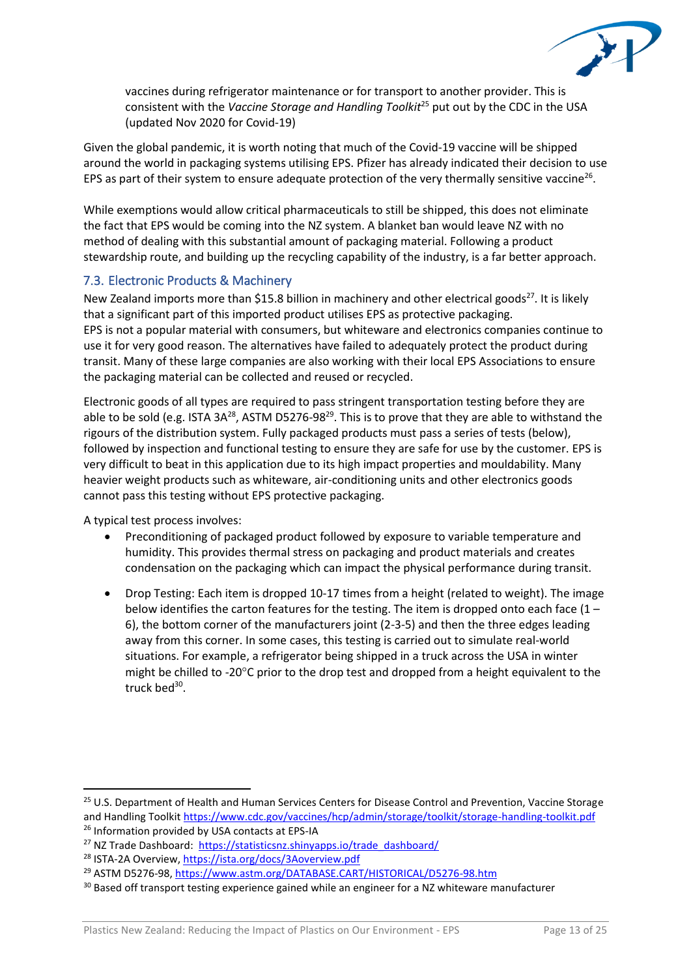

vaccines during refrigerator maintenance or for transport to another provider. This is consistent with the *Vaccine Storage and Handling Toolkit*<sup>25</sup> put out by the CDC in the USA (updated Nov 2020 for Covid-19)

Given the global pandemic, it is worth noting that much of the Covid-19 vaccine will be shipped around the world in packaging systems utilising EPS. Pfizer has already indicated their decision to use EPS as part of their system to ensure adequate protection of the very thermally sensitive vaccine<sup>26</sup>.

While exemptions would allow critical pharmaceuticals to still be shipped, this does not eliminate the fact that EPS would be coming into the NZ system. A blanket ban would leave NZ with no method of dealing with this substantial amount of packaging material. Following a product stewardship route, and building up the recycling capability of the industry, is a far better approach.

## 7.3. Electronic Products & Machinery

New Zealand imports more than \$15.8 billion in machinery and other electrical goods<sup>27</sup>. It is likely that a significant part of this imported product utilises EPS as protective packaging. EPS is not a popular material with consumers, but whiteware and electronics companies continue to use it for very good reason. The alternatives have failed to adequately protect the product during transit. Many of these large companies are also working with their local EPS Associations to ensure the packaging material can be collected and reused or recycled.

Electronic goods of all types are required to pass stringent transportation testing before they are able to be sold (e.g. ISTA 3A<sup>28</sup>, ASTM D5276-98<sup>29</sup>. This is to prove that they are able to withstand the rigours of the distribution system. Fully packaged products must pass a series of tests (below), followed by inspection and functional testing to ensure they are safe for use by the customer. EPS is very difficult to beat in this application due to its high impact properties and mouldability. Many heavier weight products such as whiteware, air-conditioning units and other electronics goods cannot pass this testing without EPS protective packaging.

A typical test process involves:

- Preconditioning of packaged product followed by exposure to variable temperature and humidity. This provides thermal stress on packaging and product materials and creates condensation on the packaging which can impact the physical performance during transit.
- Drop Testing: Each item is dropped 10-17 times from a height (related to weight). The image below identifies the carton features for the testing. The item is dropped onto each face  $(1 -$ 6), the bottom corner of the manufacturers joint (2-3-5) and then the three edges leading away from this corner. In some cases, this testing is carried out to simulate real-world situations. For example, a refrigerator being shipped in a truck across the USA in winter might be chilled to -20 $\degree$ C prior to the drop test and dropped from a height equivalent to the truck bed<sup>30</sup>.

<sup>&</sup>lt;sup>25</sup> U.S. Department of Health and Human Services Centers for Disease Control and Prevention, Vaccine Storage and Handling Toolkit<https://www.cdc.gov/vaccines/hcp/admin/storage/toolkit/storage-handling-toolkit.pdf> <sup>26</sup> Information provided by USA contacts at EPS-IA

<sup>&</sup>lt;sup>27</sup> NZ Trade Dashboard: [https://statisticsnz.shinyapps.io/trade\\_dashboard/](https://statisticsnz.shinyapps.io/trade_dashboard/)

<sup>&</sup>lt;sup>28</sup> ISTA-2A Overview,<https://ista.org/docs/3Aoverview.pdf>

<sup>&</sup>lt;sup>29</sup> ASTM D5276-98,<https://www.astm.org/DATABASE.CART/HISTORICAL/D5276-98.htm>

<sup>&</sup>lt;sup>30</sup> Based off transport testing experience gained while an engineer for a NZ whiteware manufacturer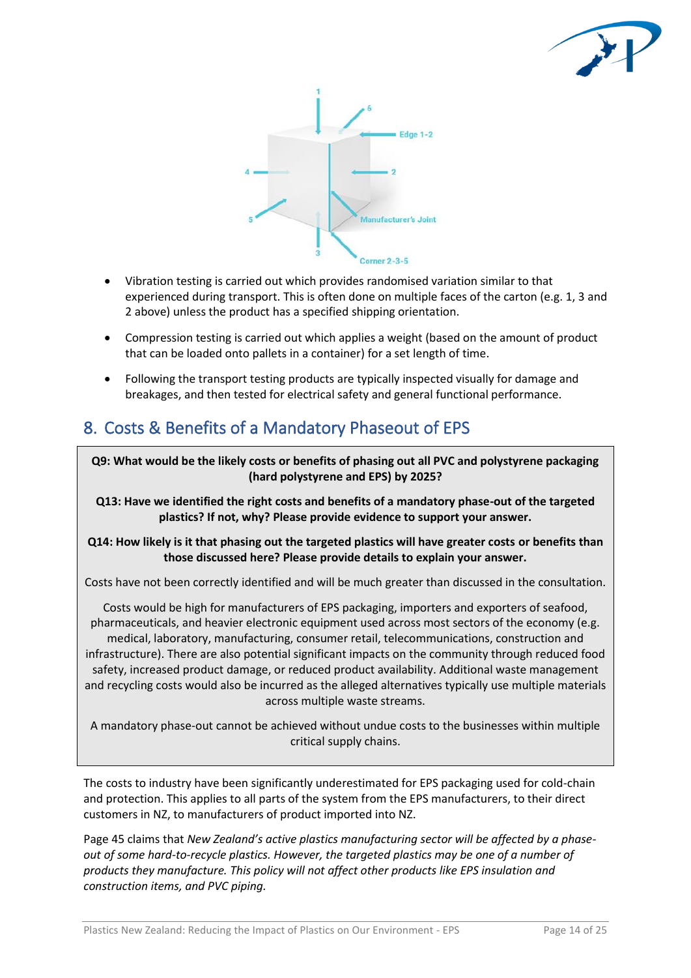



- Vibration testing is carried out which provides randomised variation similar to that experienced during transport. This is often done on multiple faces of the carton (e.g. 1, 3 and 2 above) unless the product has a specified shipping orientation.
- Compression testing is carried out which applies a weight (based on the amount of product that can be loaded onto pallets in a container) for a set length of time.
- Following the transport testing products are typically inspected visually for damage and breakages, and then tested for electrical safety and general functional performance.

# 8. Costs & Benefits of a Mandatory Phaseout of EPS

**Q9: What would be the likely costs or benefits of phasing out all PVC and polystyrene packaging (hard polystyrene and EPS) by 2025?**

**Q13: Have we identified the right costs and benefits of a mandatory phase-out of the targeted plastics? If not, why? Please provide evidence to support your answer.**

## **Q14: How likely is it that phasing out the targeted plastics will have greater costs or benefits than those discussed here? Please provide details to explain your answer.**

Costs have not been correctly identified and will be much greater than discussed in the consultation.

Costs would be high for manufacturers of EPS packaging, importers and exporters of seafood, pharmaceuticals, and heavier electronic equipment used across most sectors of the economy (e.g. medical, laboratory, manufacturing, consumer retail, telecommunications, construction and infrastructure). There are also potential significant impacts on the community through reduced food safety, increased product damage, or reduced product availability. Additional waste management and recycling costs would also be incurred as the alleged alternatives typically use multiple materials across multiple waste streams.

A mandatory phase-out cannot be achieved without undue costs to the businesses within multiple critical supply chains.

The costs to industry have been significantly underestimated for EPS packaging used for cold-chain and protection. This applies to all parts of the system from the EPS manufacturers, to their direct customers in NZ, to manufacturers of product imported into NZ.

Page 45 claims that *New Zealand's active plastics manufacturing sector will be affected by a phaseout of some hard-to-recycle plastics. However, the targeted plastics may be one of a number of products they manufacture. This policy will not affect other products like EPS insulation and construction items, and PVC piping.*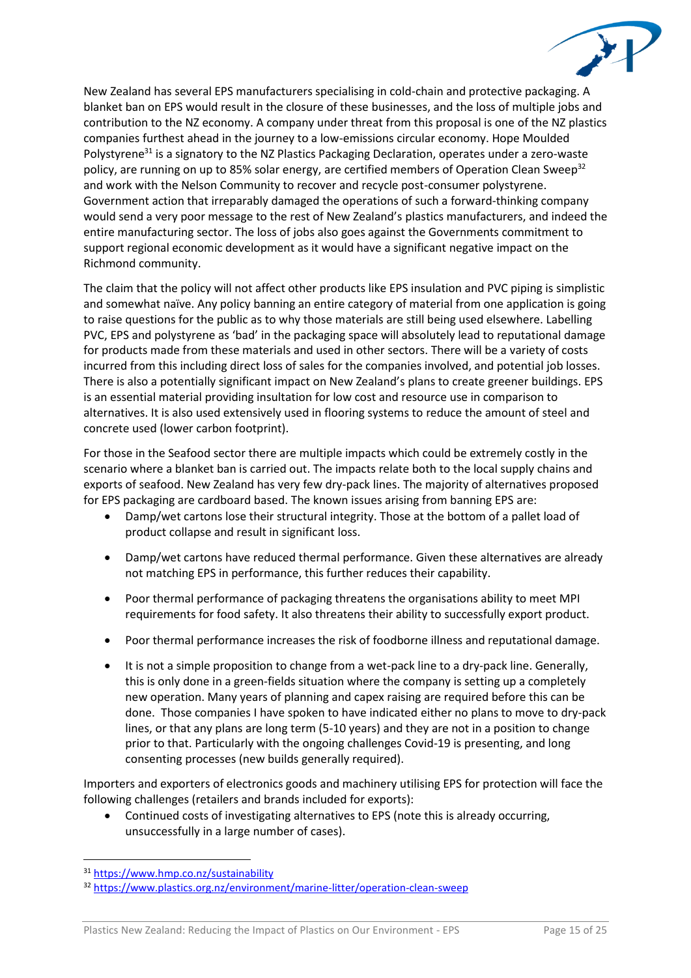

New Zealand has several EPS manufacturers specialising in cold-chain and protective packaging. A blanket ban on EPS would result in the closure of these businesses, and the loss of multiple jobs and contribution to the NZ economy. A company under threat from this proposal is one of the NZ plastics companies furthest ahead in the journey to a low-emissions circular economy. Hope Moulded Polystyrene<sup>31</sup> is a signatory to the NZ Plastics Packaging Declaration, operates under a zero-waste policy, are running on up to 85% solar energy, are certified members of Operation Clean Sweep<sup>32</sup> and work with the Nelson Community to recover and recycle post-consumer polystyrene. Government action that irreparably damaged the operations of such a forward-thinking company would send a very poor message to the rest of New Zealand's plastics manufacturers, and indeed the entire manufacturing sector. The loss of jobs also goes against the Governments commitment to support regional economic development as it would have a significant negative impact on the Richmond community.

The claim that the policy will not affect other products like EPS insulation and PVC piping is simplistic and somewhat naïve. Any policy banning an entire category of material from one application is going to raise questions for the public as to why those materials are still being used elsewhere. Labelling PVC, EPS and polystyrene as 'bad' in the packaging space will absolutely lead to reputational damage for products made from these materials and used in other sectors. There will be a variety of costs incurred from this including direct loss of sales for the companies involved, and potential job losses. There is also a potentially significant impact on New Zealand's plans to create greener buildings. EPS is an essential material providing insultation for low cost and resource use in comparison to alternatives. It is also used extensively used in flooring systems to reduce the amount of steel and concrete used (lower carbon footprint).

For those in the Seafood sector there are multiple impacts which could be extremely costly in the scenario where a blanket ban is carried out. The impacts relate both to the local supply chains and exports of seafood. New Zealand has very few dry-pack lines. The majority of alternatives proposed for EPS packaging are cardboard based. The known issues arising from banning EPS are:

- Damp/wet cartons lose their structural integrity. Those at the bottom of a pallet load of product collapse and result in significant loss.
- Damp/wet cartons have reduced thermal performance. Given these alternatives are already not matching EPS in performance, this further reduces their capability.
- Poor thermal performance of packaging threatens the organisations ability to meet MPI requirements for food safety. It also threatens their ability to successfully export product.
- Poor thermal performance increases the risk of foodborne illness and reputational damage.
- It is not a simple proposition to change from a wet-pack line to a dry-pack line. Generally, this is only done in a green-fields situation where the company is setting up a completely new operation. Many years of planning and capex raising are required before this can be done. Those companies I have spoken to have indicated either no plans to move to dry-pack lines, or that any plans are long term (5-10 years) and they are not in a position to change prior to that. Particularly with the ongoing challenges Covid-19 is presenting, and long consenting processes (new builds generally required).

Importers and exporters of electronics goods and machinery utilising EPS for protection will face the following challenges (retailers and brands included for exports):

• Continued costs of investigating alternatives to EPS (note this is already occurring, unsuccessfully in a large number of cases).

<sup>31</sup> <https://www.hmp.co.nz/sustainability>

<sup>32</sup> <https://www.plastics.org.nz/environment/marine-litter/operation-clean-sweep>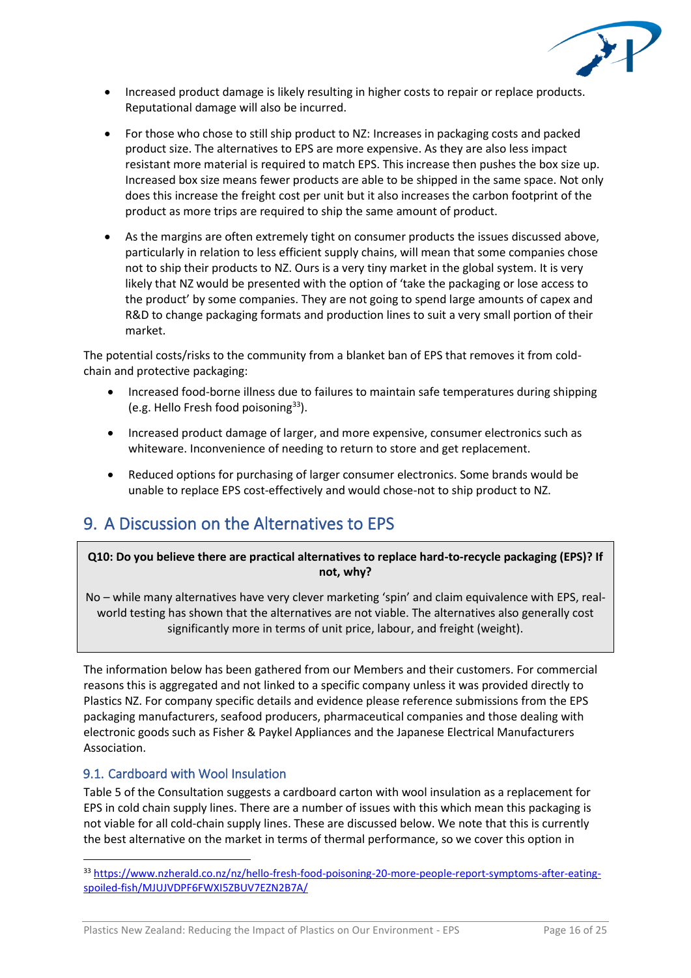

- Increased product damage is likely resulting in higher costs to repair or replace products. Reputational damage will also be incurred.
- For those who chose to still ship product to NZ: Increases in packaging costs and packed product size. The alternatives to EPS are more expensive. As they are also less impact resistant more material is required to match EPS. This increase then pushes the box size up. Increased box size means fewer products are able to be shipped in the same space. Not only does this increase the freight cost per unit but it also increases the carbon footprint of the product as more trips are required to ship the same amount of product.
- As the margins are often extremely tight on consumer products the issues discussed above, particularly in relation to less efficient supply chains, will mean that some companies chose not to ship their products to NZ. Ours is a very tiny market in the global system. It is very likely that NZ would be presented with the option of 'take the packaging or lose access to the product' by some companies. They are not going to spend large amounts of capex and R&D to change packaging formats and production lines to suit a very small portion of their market.

The potential costs/risks to the community from a blanket ban of EPS that removes it from coldchain and protective packaging:

- Increased food-borne illness due to failures to maintain safe temperatures during shipping (e.g. Hello Fresh food poisoning $33$ ).
- Increased product damage of larger, and more expensive, consumer electronics such as whiteware. Inconvenience of needing to return to store and get replacement.
- Reduced options for purchasing of larger consumer electronics. Some brands would be unable to replace EPS cost-effectively and would chose-not to ship product to NZ.

## 9. A Discussion on the Alternatives to EPS

## **Q10: Do you believe there are practical alternatives to replace hard-to-recycle packaging (EPS)? If not, why?**

No – while many alternatives have very clever marketing 'spin' and claim equivalence with EPS, realworld testing has shown that the alternatives are not viable. The alternatives also generally cost significantly more in terms of unit price, labour, and freight (weight).

The information below has been gathered from our Members and their customers. For commercial reasons this is aggregated and not linked to a specific company unless it was provided directly to Plastics NZ. For company specific details and evidence please reference submissions from the EPS packaging manufacturers, seafood producers, pharmaceutical companies and those dealing with electronic goods such as Fisher & Paykel Appliances and the Japanese Electrical Manufacturers Association.

## 9.1. Cardboard with Wool Insulation

Table 5 of the Consultation suggests a cardboard carton with wool insulation as a replacement for EPS in cold chain supply lines. There are a number of issues with this which mean this packaging is not viable for all cold-chain supply lines. These are discussed below. We note that this is currently the best alternative on the market in terms of thermal performance, so we cover this option in

<sup>33</sup> [https://www.nzherald.co.nz/nz/hello-fresh-food-poisoning-20-more-people-report-symptoms-after-eating](https://www.nzherald.co.nz/nz/hello-fresh-food-poisoning-20-more-people-report-symptoms-after-eating-spoiled-fish/MJUJVDPF6FWXI5ZBUV7EZN2B7A/)[spoiled-fish/MJUJVDPF6FWXI5ZBUV7EZN2B7A/](https://www.nzherald.co.nz/nz/hello-fresh-food-poisoning-20-more-people-report-symptoms-after-eating-spoiled-fish/MJUJVDPF6FWXI5ZBUV7EZN2B7A/)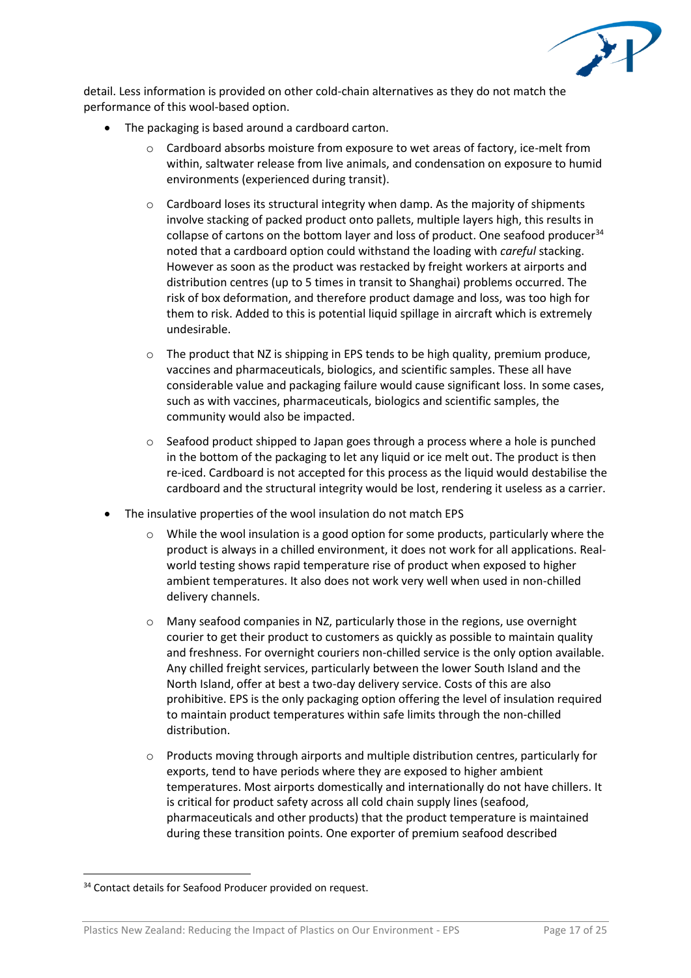

detail. Less information is provided on other cold-chain alternatives as they do not match the performance of this wool-based option.

- The packaging is based around a cardboard carton.
	- $\circ$  Cardboard absorbs moisture from exposure to wet areas of factory, ice-melt from within, saltwater release from live animals, and condensation on exposure to humid environments (experienced during transit).
	- $\circ$  Cardboard loses its structural integrity when damp. As the majority of shipments involve stacking of packed product onto pallets, multiple layers high, this results in collapse of cartons on the bottom layer and loss of product. One seafood producer $34$ noted that a cardboard option could withstand the loading with *careful* stacking. However as soon as the product was restacked by freight workers at airports and distribution centres (up to 5 times in transit to Shanghai) problems occurred. The risk of box deformation, and therefore product damage and loss, was too high for them to risk. Added to this is potential liquid spillage in aircraft which is extremely undesirable.
	- o The product that NZ is shipping in EPS tends to be high quality, premium produce, vaccines and pharmaceuticals, biologics, and scientific samples. These all have considerable value and packaging failure would cause significant loss. In some cases, such as with vaccines, pharmaceuticals, biologics and scientific samples, the community would also be impacted.
	- o Seafood product shipped to Japan goes through a process where a hole is punched in the bottom of the packaging to let any liquid or ice melt out. The product is then re-iced. Cardboard is not accepted for this process as the liquid would destabilise the cardboard and the structural integrity would be lost, rendering it useless as a carrier.
- The insulative properties of the wool insulation do not match EPS
	- $\circ$  While the wool insulation is a good option for some products, particularly where the product is always in a chilled environment, it does not work for all applications. Realworld testing shows rapid temperature rise of product when exposed to higher ambient temperatures. It also does not work very well when used in non-chilled delivery channels.
	- o Many seafood companies in NZ, particularly those in the regions, use overnight courier to get their product to customers as quickly as possible to maintain quality and freshness. For overnight couriers non-chilled service is the only option available. Any chilled freight services, particularly between the lower South Island and the North Island, offer at best a two-day delivery service. Costs of this are also prohibitive. EPS is the only packaging option offering the level of insulation required to maintain product temperatures within safe limits through the non-chilled distribution.
	- $\circ$  Products moving through airports and multiple distribution centres, particularly for exports, tend to have periods where they are exposed to higher ambient temperatures. Most airports domestically and internationally do not have chillers. It is critical for product safety across all cold chain supply lines (seafood, pharmaceuticals and other products) that the product temperature is maintained during these transition points. One exporter of premium seafood described

<sup>&</sup>lt;sup>34</sup> Contact details for Seafood Producer provided on request.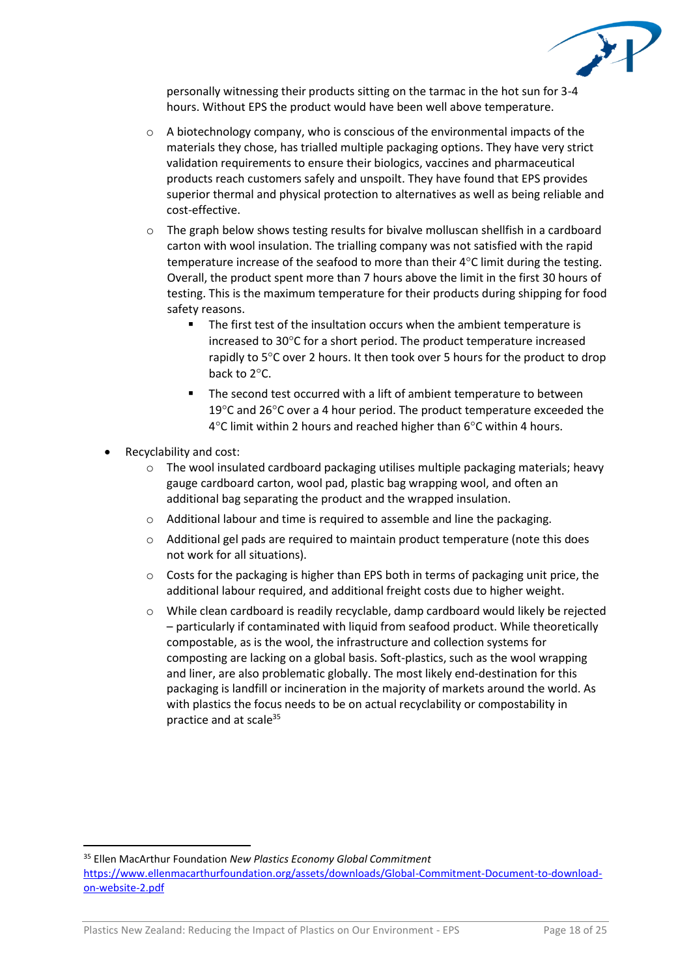

personally witnessing their products sitting on the tarmac in the hot sun for 3-4 hours. Without EPS the product would have been well above temperature.

- $\circ$  A biotechnology company, who is conscious of the environmental impacts of the materials they chose, has trialled multiple packaging options. They have very strict validation requirements to ensure their biologics, vaccines and pharmaceutical products reach customers safely and unspoilt. They have found that EPS provides superior thermal and physical protection to alternatives as well as being reliable and cost-effective.
- $\circ$  The graph below shows testing results for bivalve molluscan shellfish in a cardboard carton with wool insulation. The trialling company was not satisfied with the rapid temperature increase of the seafood to more than their  $4^{\circ}$ C limit during the testing. Overall, the product spent more than 7 hours above the limit in the first 30 hours of testing. This is the maximum temperature for their products during shipping for food safety reasons.
	- The first test of the insultation occurs when the ambient temperature is increased to  $30^{\circ}$ C for a short period. The product temperature increased rapidly to  $5^{\circ}$ C over 2 hours. It then took over 5 hours for the product to drop back to 2°C.
	- The second test occurred with a lift of ambient temperature to between 19 $\degree$ C and 26 $\degree$ C over a 4 hour period. The product temperature exceeded the  $4^{\circ}$ C limit within 2 hours and reached higher than 6 $^{\circ}$ C within 4 hours.
- Recyclability and cost:
	- o The wool insulated cardboard packaging utilises multiple packaging materials; heavy gauge cardboard carton, wool pad, plastic bag wrapping wool, and often an additional bag separating the product and the wrapped insulation.
	- o Additional labour and time is required to assemble and line the packaging.
	- o Additional gel pads are required to maintain product temperature (note this does not work for all situations).
	- $\circ$  Costs for the packaging is higher than EPS both in terms of packaging unit price, the additional labour required, and additional freight costs due to higher weight.
	- o While clean cardboard is readily recyclable, damp cardboard would likely be rejected – particularly if contaminated with liquid from seafood product. While theoretically compostable, as is the wool, the infrastructure and collection systems for composting are lacking on a global basis. Soft-plastics, such as the wool wrapping and liner, are also problematic globally. The most likely end-destination for this packaging is landfill or incineration in the majority of markets around the world. As with plastics the focus needs to be on actual recyclability or compostability in practice and at scale<sup>35</sup>

<sup>35</sup> Ellen MacArthur Foundation *New Plastics Economy Global Commitment*

[https://www.ellenmacarthurfoundation.org/assets/downloads/Global-Commitment-Document-to-download](https://www.ellenmacarthurfoundation.org/assets/downloads/Global-Commitment-Document-to-download-on-website-2.pdf)[on-website-2.pdf](https://www.ellenmacarthurfoundation.org/assets/downloads/Global-Commitment-Document-to-download-on-website-2.pdf)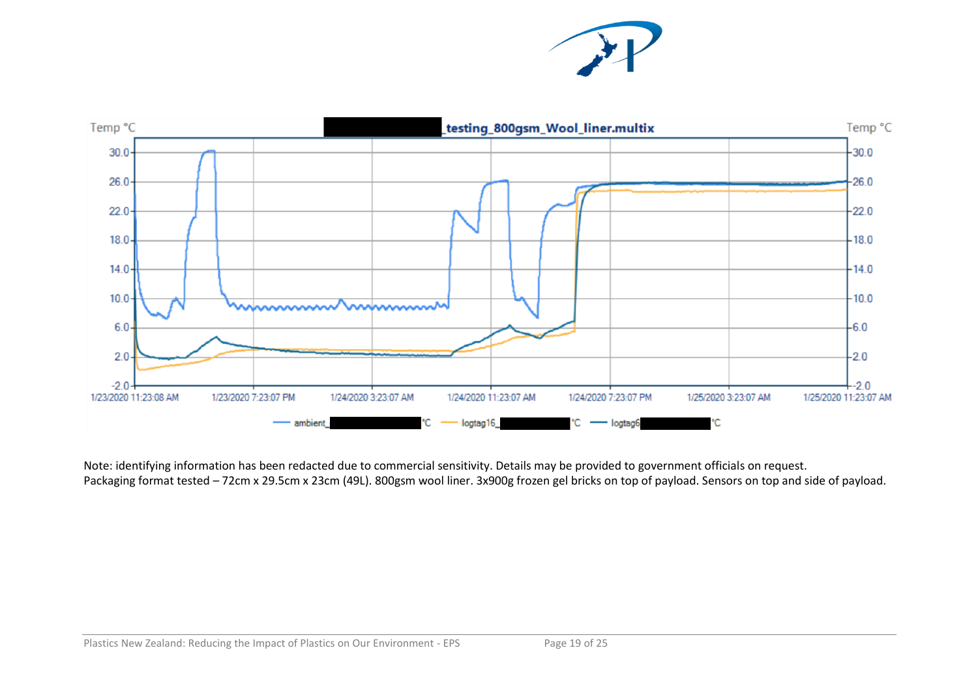



Note: identifying information has been redacted due to commercial sensitivity. Details may be provided to government officials on request. Packaging format tested – 72cm x 29.5cm x 23cm (49L). 800gsm wool liner. 3x900g frozen gel bricks on top of payload. Sensors on top and side of payload.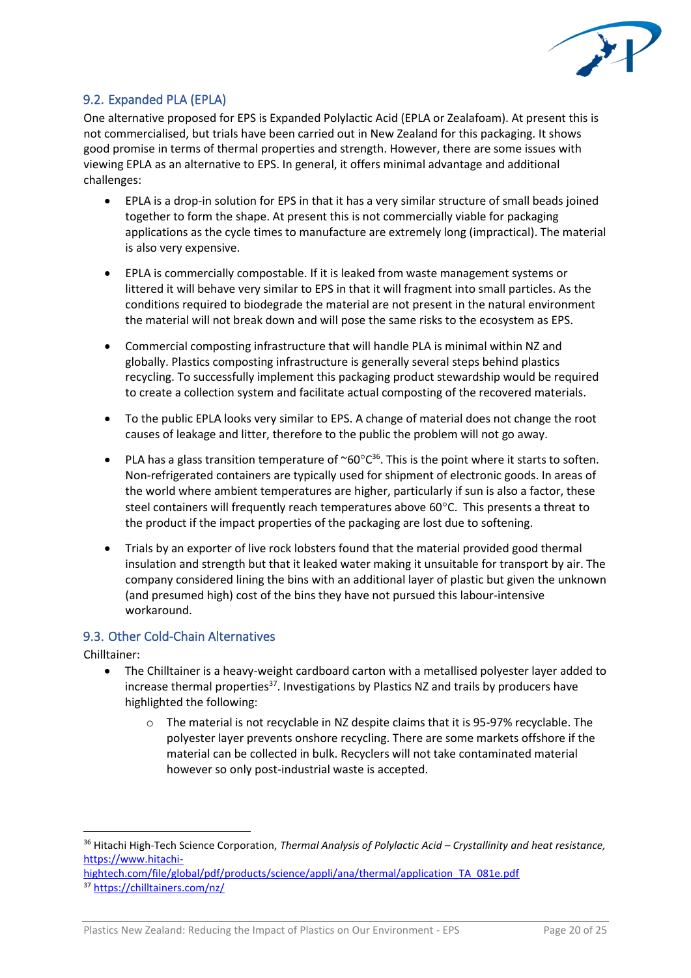

## 9.2. Expanded PLA (EPLA)

One alternative proposed for EPS is Expanded Polylactic Acid (EPLA or Zealafoam). At present this is not commercialised, but trials have been carried out in New Zealand for this packaging. It shows good promise in terms of thermal properties and strength. However, there are some issues with viewing EPLA as an alternative to EPS. In general, it offers minimal advantage and additional challenges:

- EPLA is a drop-in solution for EPS in that it has a very similar structure of small beads joined together to form the shape. At present this is not commercially viable for packaging applications as the cycle times to manufacture are extremely long (impractical). The material is also very expensive.
- EPLA is commercially compostable. If it is leaked from waste management systems or littered it will behave very similar to EPS in that it will fragment into small particles. As the conditions required to biodegrade the material are not present in the natural environment the material will not break down and will pose the same risks to the ecosystem as EPS.
- Commercial composting infrastructure that will handle PLA is minimal within NZ and globally. Plastics composting infrastructure is generally several steps behind plastics recycling. To successfully implement this packaging product stewardship would be required to create a collection system and facilitate actual composting of the recovered materials.
- To the public EPLA looks very similar to EPS. A change of material does not change the root causes of leakage and litter, therefore to the public the problem will not go away.
- PLA has a glass transition temperature of  $\sim 60^{\circ}C^{36}$ . This is the point where it starts to soften. Non-refrigerated containers are typically used for shipment of electronic goods. In areas of the world where ambient temperatures are higher, particularly if sun is also a factor, these steel containers will frequently reach temperatures above  $60^{\circ}$ C. This presents a threat to the product if the impact properties of the packaging are lost due to softening.
- Trials by an exporter of live rock lobsters found that the material provided good thermal insulation and strength but that it leaked water making it unsuitable for transport by air. The company considered lining the bins with an additional layer of plastic but given the unknown (and presumed high) cost of the bins they have not pursued this labour-intensive workaround.

#### 9.3. Other Cold-Chain Alternatives

Chilltainer:

- The Chilltainer is a heavy-weight cardboard carton with a metallised polyester layer added to increase thermal properties<sup>37</sup>. Investigations by Plastics NZ and trails by producers have highlighted the following:
	- o The material is not recyclable in NZ despite claims that it is 95-97% recyclable. The polyester layer prevents onshore recycling. There are some markets offshore if the material can be collected in bulk. Recyclers will not take contaminated material however so only post-industrial waste is accepted.

<sup>36</sup> Hitachi High-Tech Science Corporation, *Thermal Analysis of Polylactic Acid – Crystallinity and heat resistance,*  [https://www.hitachi-](https://www.hitachi-hightech.com/file/global/pdf/products/science/appli/ana/thermal/application_TA_081e.pdf)

[hightech.com/file/global/pdf/products/science/appli/ana/thermal/application\\_TA\\_081e.pdf](https://www.hitachi-hightech.com/file/global/pdf/products/science/appli/ana/thermal/application_TA_081e.pdf) <sup>37</sup> <https://chilltainers.com/nz/>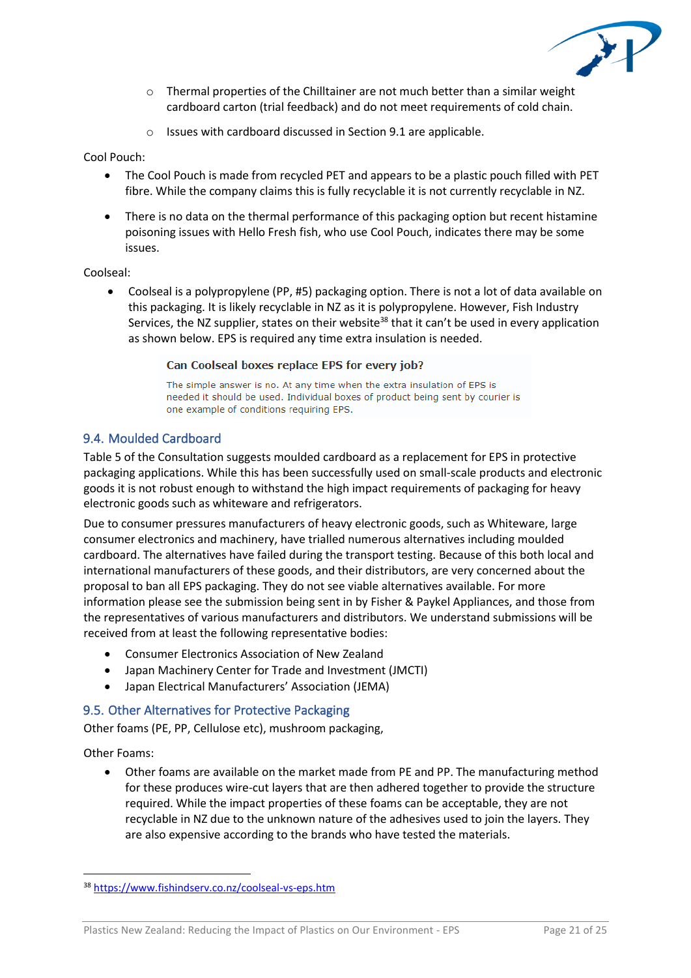

- $\circ$  Thermal properties of the Chilltainer are not much better than a similar weight cardboard carton (trial feedback) and do not meet requirements of cold chain.
- o Issues with cardboard discussed in Section 9.1 are applicable.

#### Cool Pouch:

- The Cool Pouch is made from recycled PET and appears to be a plastic pouch filled with PET fibre. While the company claims this is fully recyclable it is not currently recyclable in NZ.
- There is no data on the thermal performance of this packaging option but recent histamine poisoning issues with Hello Fresh fish, who use Cool Pouch, indicates there may be some issues.

### Coolseal:

• Coolseal is a polypropylene (PP, #5) packaging option. There is not a lot of data available on this packaging. It is likely recyclable in NZ as it is polypropylene. However, Fish Industry Services, the NZ supplier, states on their website<sup>38</sup> that it can't be used in every application as shown below. EPS is required any time extra insulation is needed.

#### Can Coolseal boxes replace EPS for every job?

The simple answer is no. At any time when the extra insulation of EPS is needed it should be used. Individual boxes of product being sent by courier is one example of conditions requiring EPS.

## 9.4. Moulded Cardboard

Table 5 of the Consultation suggests moulded cardboard as a replacement for EPS in protective packaging applications. While this has been successfully used on small-scale products and electronic goods it is not robust enough to withstand the high impact requirements of packaging for heavy electronic goods such as whiteware and refrigerators.

Due to consumer pressures manufacturers of heavy electronic goods, such as Whiteware, large consumer electronics and machinery, have trialled numerous alternatives including moulded cardboard. The alternatives have failed during the transport testing. Because of this both local and international manufacturers of these goods, and their distributors, are very concerned about the proposal to ban all EPS packaging. They do not see viable alternatives available. For more information please see the submission being sent in by Fisher & Paykel Appliances, and those from the representatives of various manufacturers and distributors. We understand submissions will be received from at least the following representative bodies:

- Consumer Electronics Association of New Zealand
- Japan Machinery Center for Trade and Investment (JMCTI)
- Japan Electrical Manufacturers' Association (JEMA)

## 9.5. Other Alternatives for Protective Packaging

Other foams (PE, PP, Cellulose etc), mushroom packaging,

Other Foams:

• Other foams are available on the market made from PE and PP. The manufacturing method for these produces wire-cut layers that are then adhered together to provide the structure required. While the impact properties of these foams can be acceptable, they are not recyclable in NZ due to the unknown nature of the adhesives used to join the layers. They are also expensive according to the brands who have tested the materials.

<sup>38</sup> <https://www.fishindserv.co.nz/coolseal-vs-eps.htm>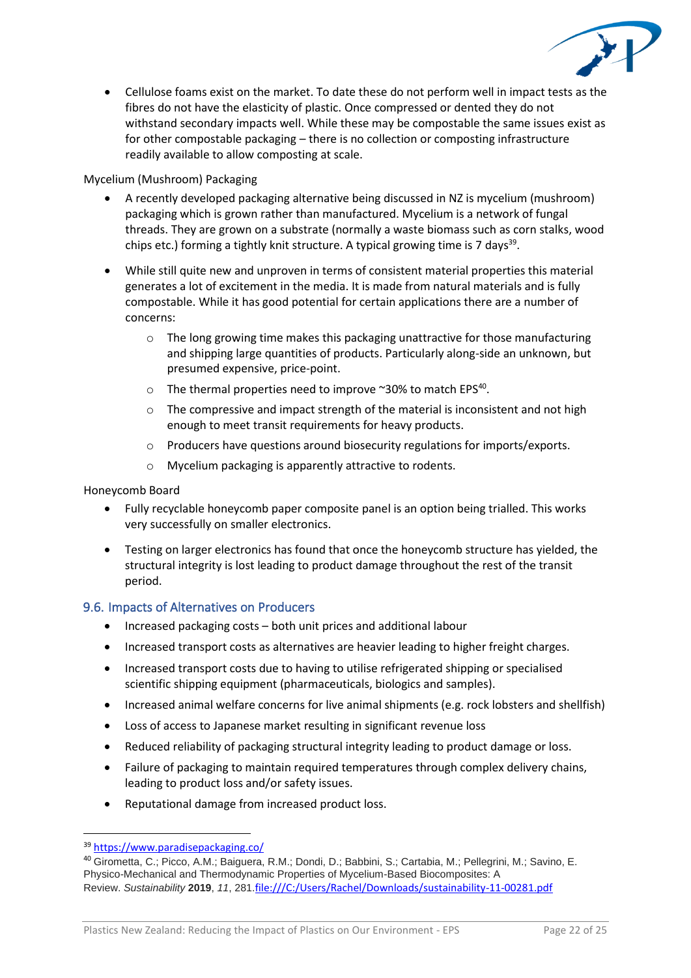

• Cellulose foams exist on the market. To date these do not perform well in impact tests as the fibres do not have the elasticity of plastic. Once compressed or dented they do not withstand secondary impacts well. While these may be compostable the same issues exist as for other compostable packaging – there is no collection or composting infrastructure readily available to allow composting at scale.

### Mycelium (Mushroom) Packaging

- A recently developed packaging alternative being discussed in NZ is mycelium (mushroom) packaging which is grown rather than manufactured. Mycelium is a network of fungal threads. They are grown on a substrate (normally a waste biomass such as corn stalks, wood chips etc.) forming a tightly knit structure. A typical growing time is 7 days<sup>39</sup>.
- While still quite new and unproven in terms of consistent material properties this material generates a lot of excitement in the media. It is made from natural materials and is fully compostable. While it has good potential for certain applications there are a number of concerns:
	- $\circ$  The long growing time makes this packaging unattractive for those manufacturing and shipping large quantities of products. Particularly along-side an unknown, but presumed expensive, price-point.
	- $\circ$  The thermal properties need to improve ~30% to match EPS<sup>40</sup>.
	- $\circ$  The compressive and impact strength of the material is inconsistent and not high enough to meet transit requirements for heavy products.
	- o Producers have questions around biosecurity regulations for imports/exports.
	- o Mycelium packaging is apparently attractive to rodents.

Honeycomb Board

- Fully recyclable honeycomb paper composite panel is an option being trialled. This works very successfully on smaller electronics.
- Testing on larger electronics has found that once the honeycomb structure has yielded, the structural integrity is lost leading to product damage throughout the rest of the transit period.

## 9.6. Impacts of Alternatives on Producers

- Increased packaging costs both unit prices and additional labour
- Increased transport costs as alternatives are heavier leading to higher freight charges.
- Increased transport costs due to having to utilise refrigerated shipping or specialised scientific shipping equipment (pharmaceuticals, biologics and samples).
- Increased animal welfare concerns for live animal shipments (e.g. rock lobsters and shellfish)
- Loss of access to Japanese market resulting in significant revenue loss
- Reduced reliability of packaging structural integrity leading to product damage or loss.
- Failure of packaging to maintain required temperatures through complex delivery chains, leading to product loss and/or safety issues.
- Reputational damage from increased product loss.

<sup>39</sup> <https://www.paradisepackaging.co/>

<sup>40</sup> Girometta, C.; Picco, A.M.; Baiguera, R.M.; Dondi, D.; Babbini, S.; Cartabia, M.; Pellegrini, M.; Savino, E. Physico-Mechanical and Thermodynamic Properties of Mycelium-Based Biocomposites: A Review. *Sustainability* **2019**, *11*, 281.<file:///C:/Users/Rachel/Downloads/sustainability-11-00281.pdf>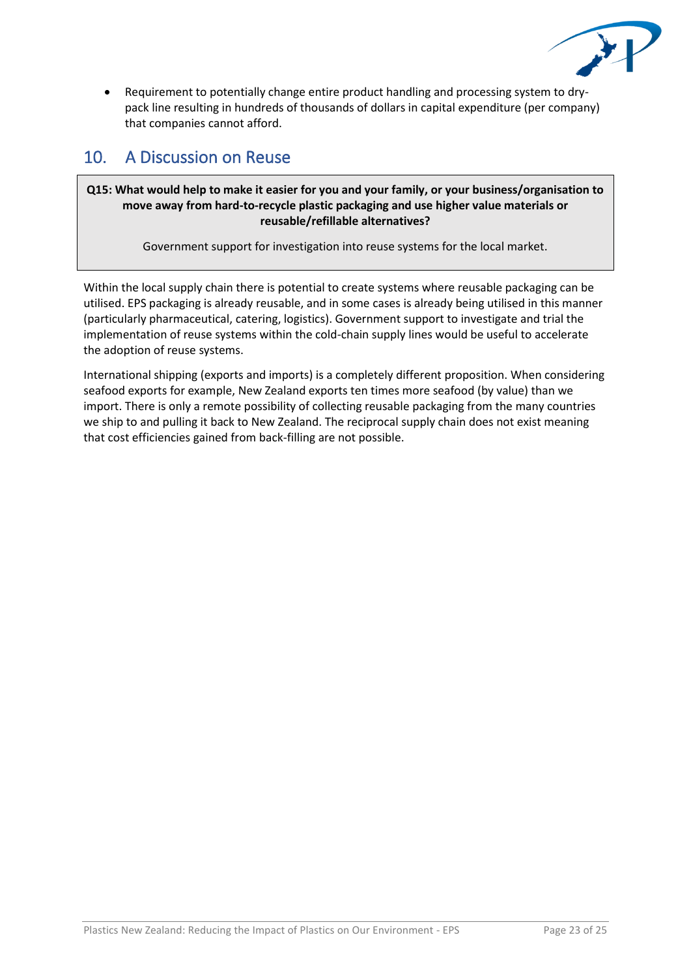

• Requirement to potentially change entire product handling and processing system to drypack line resulting in hundreds of thousands of dollars in capital expenditure (per company) that companies cannot afford.

## 10. A Discussion on Reuse

### **Q15: What would help to make it easier for you and your family, or your business/organisation to move away from hard-to-recycle plastic packaging and use higher value materials or reusable/refillable alternatives?**

Government support for investigation into reuse systems for the local market.

Within the local supply chain there is potential to create systems where reusable packaging can be utilised. EPS packaging is already reusable, and in some cases is already being utilised in this manner (particularly pharmaceutical, catering, logistics). Government support to investigate and trial the implementation of reuse systems within the cold-chain supply lines would be useful to accelerate the adoption of reuse systems.

International shipping (exports and imports) is a completely different proposition. When considering seafood exports for example, New Zealand exports ten times more seafood (by value) than we import. There is only a remote possibility of collecting reusable packaging from the many countries we ship to and pulling it back to New Zealand. The reciprocal supply chain does not exist meaning that cost efficiencies gained from back-filling are not possible.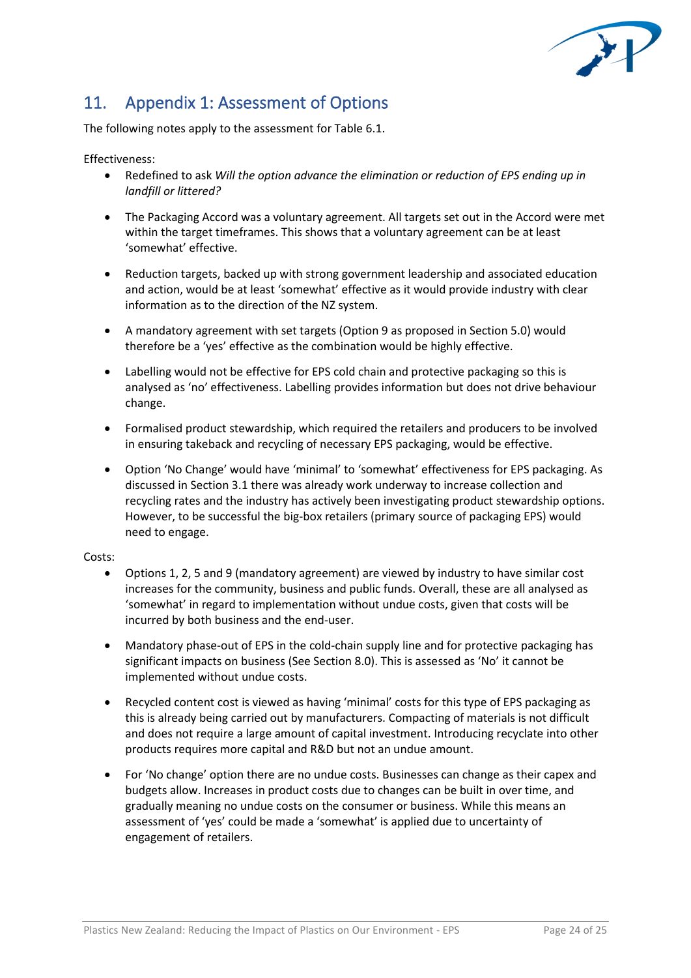

# 11. Appendix 1: Assessment of Options

The following notes apply to the assessment for Table 6.1.

#### Effectiveness:

- Redefined to ask *Will the option advance the elimination or reduction of EPS ending up in landfill or littered?*
- The Packaging Accord was a voluntary agreement. All targets set out in the Accord were met within the target timeframes. This shows that a voluntary agreement can be at least 'somewhat' effective.
- Reduction targets, backed up with strong government leadership and associated education and action, would be at least 'somewhat' effective as it would provide industry with clear information as to the direction of the NZ system.
- A mandatory agreement with set targets (Option 9 as proposed in Section 5.0) would therefore be a 'yes' effective as the combination would be highly effective.
- Labelling would not be effective for EPS cold chain and protective packaging so this is analysed as 'no' effectiveness. Labelling provides information but does not drive behaviour change.
- Formalised product stewardship, which required the retailers and producers to be involved in ensuring takeback and recycling of necessary EPS packaging, would be effective.
- Option 'No Change' would have 'minimal' to 'somewhat' effectiveness for EPS packaging. As discussed in Section 3.1 there was already work underway to increase collection and recycling rates and the industry has actively been investigating product stewardship options. However, to be successful the big-box retailers (primary source of packaging EPS) would need to engage.

#### Costs:

- Options 1, 2, 5 and 9 (mandatory agreement) are viewed by industry to have similar cost increases for the community, business and public funds. Overall, these are all analysed as 'somewhat' in regard to implementation without undue costs, given that costs will be incurred by both business and the end-user.
- Mandatory phase-out of EPS in the cold-chain supply line and for protective packaging has significant impacts on business (See Section 8.0). This is assessed as 'No' it cannot be implemented without undue costs.
- Recycled content cost is viewed as having 'minimal' costs for this type of EPS packaging as this is already being carried out by manufacturers. Compacting of materials is not difficult and does not require a large amount of capital investment. Introducing recyclate into other products requires more capital and R&D but not an undue amount.
- For 'No change' option there are no undue costs. Businesses can change as their capex and budgets allow. Increases in product costs due to changes can be built in over time, and gradually meaning no undue costs on the consumer or business. While this means an assessment of 'yes' could be made a 'somewhat' is applied due to uncertainty of engagement of retailers.